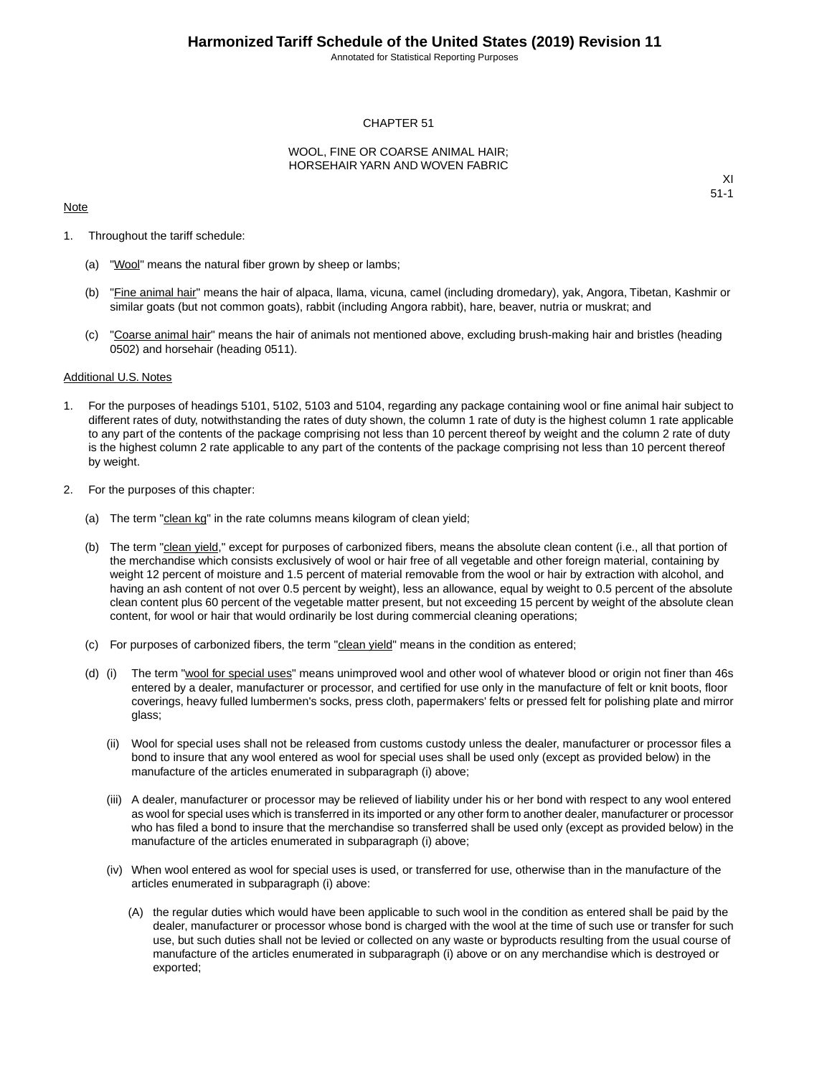Annotated for Statistical Reporting Purposes

#### CHAPTER 51

#### WOOL, FINE OR COARSE ANIMAL HAIR; HORSEHAIR YARN AND WOVEN FABRIC

#### Note

XI 51-1

- 1. Throughout the tariff schedule:
	- (a) "Wool" means the natural fiber grown by sheep or lambs;
	- (b) "Fine animal hair" means the hair of alpaca, llama, vicuna, camel (including dromedary), yak, Angora, Tibetan, Kashmir or similar goats (but not common goats), rabbit (including Angora rabbit), hare, beaver, nutria or muskrat; and
	- (c) "Coarse animal hair" means the hair of animals not mentioned above, excluding brush-making hair and bristles (heading 0502) and horsehair (heading 0511).

#### Additional U.S. Notes

- 1. For the purposes of headings 5101, 5102, 5103 and 5104, regarding any package containing wool or fine animal hair subject to different rates of duty, notwithstanding the rates of duty shown, the column 1 rate of duty is the highest column 1 rate applicable to any part of the contents of the package comprising not less than 10 percent thereof by weight and the column 2 rate of duty is the highest column 2 rate applicable to any part of the contents of the package comprising not less than 10 percent thereof by weight.
- 2. For the purposes of this chapter:
	- (a) The term "clean kg" in the rate columns means kilogram of clean yield;
	- (b) The term "clean yield," except for purposes of carbonized fibers, means the absolute clean content (i.e., all that portion of the merchandise which consists exclusively of wool or hair free of all vegetable and other foreign material, containing by weight 12 percent of moisture and 1.5 percent of material removable from the wool or hair by extraction with alcohol, and having an ash content of not over 0.5 percent by weight), less an allowance, equal by weight to 0.5 percent of the absolute clean content plus 60 percent of the vegetable matter present, but not exceeding 15 percent by weight of the absolute clean content, for wool or hair that would ordinarily be lost during commercial cleaning operations;
	- (c) For purposes of carbonized fibers, the term "clean yield" means in the condition as entered;
	- (d) (i) The term "wool for special uses" means unimproved wool and other wool of whatever blood or origin not finer than 46s entered by a dealer, manufacturer or processor, and certified for use only in the manufacture of felt or knit boots, floor coverings, heavy fulled lumbermen's socks, press cloth, papermakers' felts or pressed felt for polishing plate and mirror glass;
		- (ii) Wool for special uses shall not be released from customs custody unless the dealer, manufacturer or processor files a bond to insure that any wool entered as wool for special uses shall be used only (except as provided below) in the manufacture of the articles enumerated in subparagraph (i) above;
		- (iii) A dealer, manufacturer or processor may be relieved of liability under his or her bond with respect to any wool entered as wool for special uses which is transferred in its imported or any other form to another dealer, manufacturer or processor who has filed a bond to insure that the merchandise so transferred shall be used only (except as provided below) in the manufacture of the articles enumerated in subparagraph (i) above;
		- (iv) When wool entered as wool for special uses is used, or transferred for use, otherwise than in the manufacture of the articles enumerated in subparagraph (i) above:
			- (A) the regular duties which would have been applicable to such wool in the condition as entered shall be paid by the dealer, manufacturer or processor whose bond is charged with the wool at the time of such use or transfer for such use, but such duties shall not be levied or collected on any waste or byproducts resulting from the usual course of manufacture of the articles enumerated in subparagraph (i) above or on any merchandise which is destroyed or exported;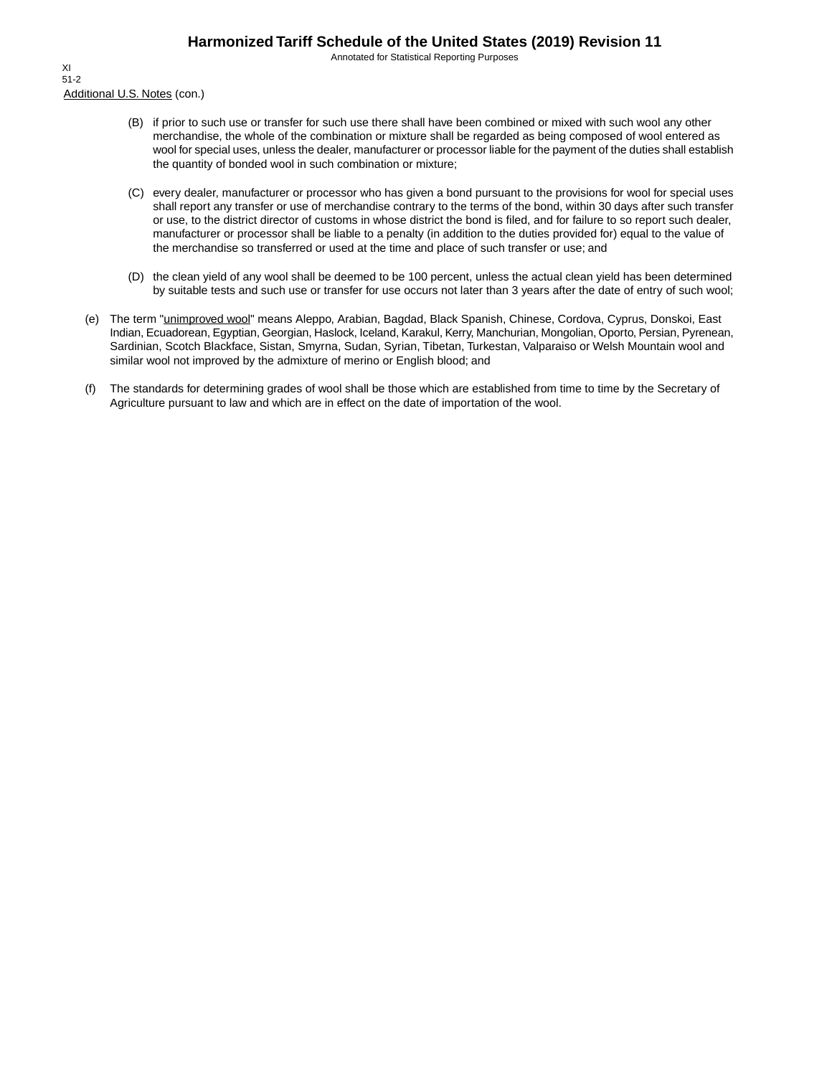Annotated for Statistical Reporting Purposes

Additional U.S. Notes (con.) XI 51-2

- (B) if prior to such use or transfer for such use there shall have been combined or mixed with such wool any other merchandise, the whole of the combination or mixture shall be regarded as being composed of wool entered as wool for special uses, unless the dealer, manufacturer or processor liable for the payment of the duties shall establish the quantity of bonded wool in such combination or mixture;
- (C) every dealer, manufacturer or processor who has given a bond pursuant to the provisions for wool for special uses shall report any transfer or use of merchandise contrary to the terms of the bond, within 30 days after such transfer or use, to the district director of customs in whose district the bond is filed, and for failure to so report such dealer, manufacturer or processor shall be liable to a penalty (in addition to the duties provided for) equal to the value of the merchandise so transferred or used at the time and place of such transfer or use; and
- (D) the clean yield of any wool shall be deemed to be 100 percent, unless the actual clean yield has been determined by suitable tests and such use or transfer for use occurs not later than 3 years after the date of entry of such wool;
- (e) The term "unimproved wool" means Aleppo, Arabian, Bagdad, Black Spanish, Chinese, Cordova, Cyprus, Donskoi, East Indian, Ecuadorean, Egyptian, Georgian, Haslock, Iceland, Karakul, Kerry, Manchurian, Mongolian, Oporto, Persian, Pyrenean, Sardinian, Scotch Blackface, Sistan, Smyrna, Sudan, Syrian, Tibetan, Turkestan, Valparaiso or Welsh Mountain wool and similar wool not improved by the admixture of merino or English blood; and
- (f) The standards for determining grades of wool shall be those which are established from time to time by the Secretary of Agriculture pursuant to law and which are in effect on the date of importation of the wool.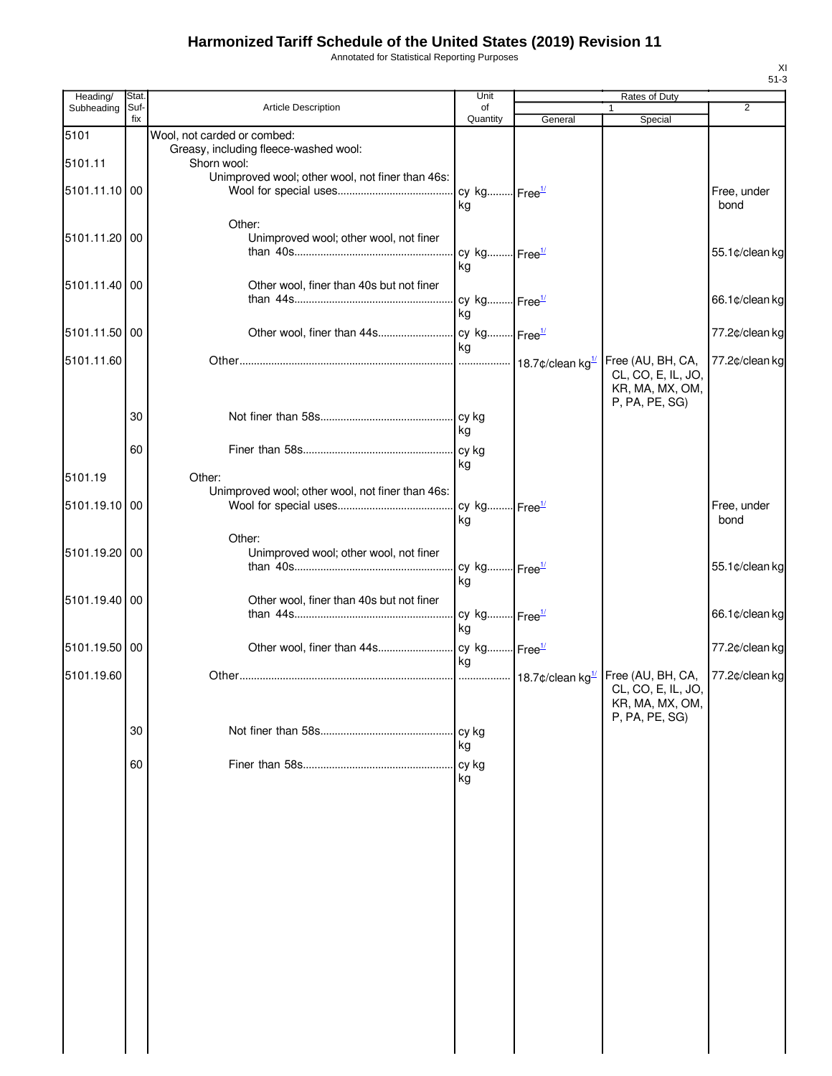Annotated for Statistical Reporting Purposes

| Heading/      | Stat.       |                                                                      | Unit                           |         | Rates of Duty                                                                |                     |
|---------------|-------------|----------------------------------------------------------------------|--------------------------------|---------|------------------------------------------------------------------------------|---------------------|
| Subheading    | Suf-<br>fix | Article Description                                                  | of<br>Quantity                 | General | 1<br>Special                                                                 | $\overline{2}$      |
| 5101          |             | Wool, not carded or combed:<br>Greasy, including fleece-washed wool: |                                |         |                                                                              |                     |
| 5101.11       |             | Shorn wool:                                                          |                                |         |                                                                              |                     |
| 5101.11.10 00 |             | Unimproved wool; other wool, not finer than 46s:                     | cy kg Free <sup>1/</sup><br>kg |         |                                                                              | Free, under<br>bond |
| 5101.11.20 00 |             | Other:<br>Unimproved wool; other wool, not finer                     | cy kg Free <sup>1/</sup>       |         |                                                                              | 55.1¢/clean kg      |
| 5101.11.40 00 |             | Other wool, finer than 40s but not finer                             | kg                             |         |                                                                              |                     |
|               |             |                                                                      | cy kg Free <sup>1/</sup><br>ka |         |                                                                              | 66.1¢/clean kg      |
| 5101.11.50 00 |             |                                                                      | kg                             |         |                                                                              | 77.2¢/clean kg      |
| 5101.11.60    |             |                                                                      |                                |         | Free (AU, BH, CA,<br>CL, CO, E, IL, JO,<br>KR, MA, MX, OM,<br>P, PA, PE, SG) | 77.2¢/clean kg      |
|               | 30          |                                                                      | ka                             |         |                                                                              |                     |
|               | 60          |                                                                      | kg                             |         |                                                                              |                     |
| 5101.19       |             | Other:<br>Unimproved wool; other wool, not finer than 46s:           |                                |         |                                                                              |                     |
| 5101.19.10 00 |             |                                                                      | cy kg Free <sup>1/</sup><br>kg |         |                                                                              | Free, under<br>bond |
| 5101.19.20 00 |             | Other:<br>Unimproved wool; other wool, not finer                     | cy kg Free <sup>1/</sup>       |         |                                                                              | 55.1¢/clean kg      |
| 5101.19.40 00 |             | Other wool, finer than 40s but not finer                             | kg                             |         |                                                                              | 66.1¢/clean kg      |
|               |             |                                                                      | cy kg Free <sup>1/</sup><br>ka |         |                                                                              |                     |
| 5101.19.50 00 |             |                                                                      | ka                             |         |                                                                              | 77.2¢/clean kg      |
| 5101.19.60    |             |                                                                      |                                |         | Free (AU, BH, CA,<br>CL, CO, E, IL, JO,<br>KR, MA, MX, OM,<br>P, PA, PE, SG) | 77.2¢/clean kg      |
|               | 30          |                                                                      | cy kg<br>kg                    |         |                                                                              |                     |
|               | 60          |                                                                      | cy kg<br>kg                    |         |                                                                              |                     |
|               |             |                                                                      |                                |         |                                                                              |                     |
|               |             |                                                                      |                                |         |                                                                              |                     |
|               |             |                                                                      |                                |         |                                                                              |                     |
|               |             |                                                                      |                                |         |                                                                              |                     |
|               |             |                                                                      |                                |         |                                                                              |                     |
|               |             |                                                                      |                                |         |                                                                              |                     |
|               |             |                                                                      |                                |         |                                                                              |                     |
|               |             |                                                                      |                                |         |                                                                              |                     |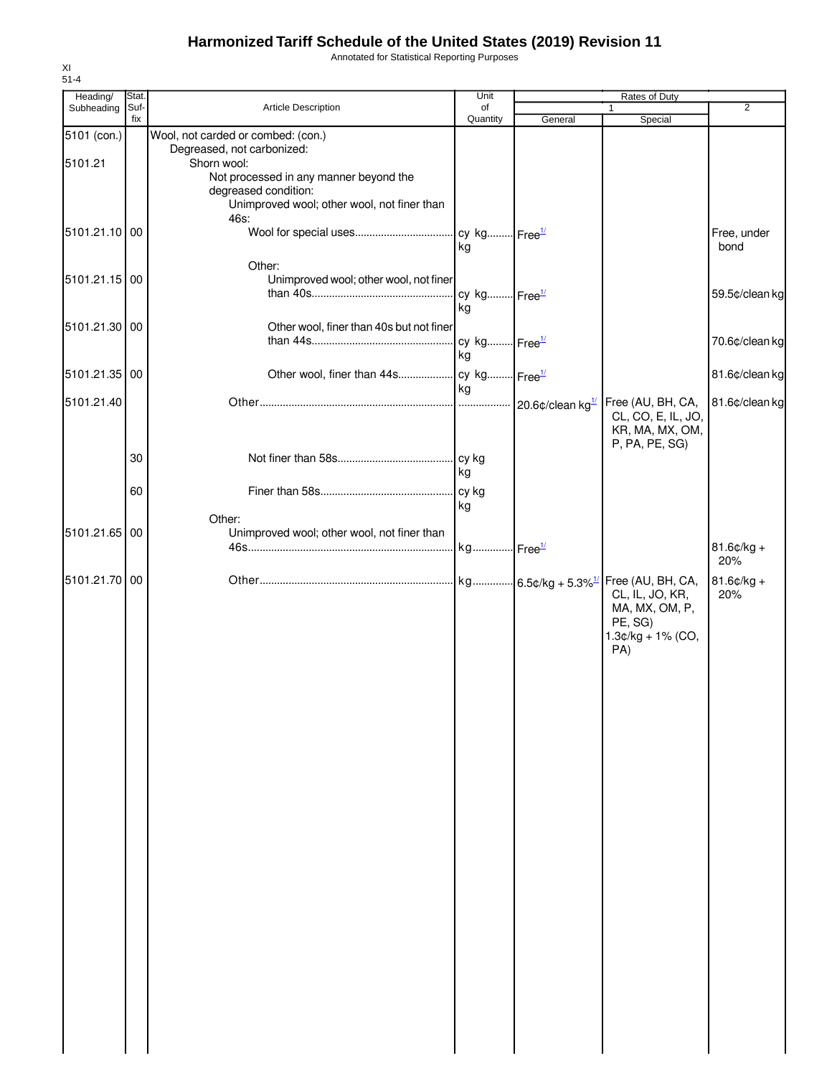Annotated for Statistical Reporting Purposes

| fix<br>Quantity<br>General<br>Special<br>Wool, not carded or combed: (con.)<br>5101 (con.)<br>Degreased, not carbonized:<br>5101.21<br>Shorn wool:<br>Not processed in any manner beyond the<br>degreased condition:<br>Unimproved wool; other wool, not finer than<br>46s:<br>5101.21.10 00<br>Free, under<br>kg<br>bond<br>Other:<br>5101.21.15 00<br>Unimproved wool; other wool, not finer<br>cy kg Free <sup>1/</sup><br>kg<br>Other wool, finer than 40s but not finer<br>5101.21.30 00<br>cy kg Free <sup>1/</sup><br>kg<br>5101.21.35 00<br>kg<br>5101.21.40<br>Free (AU, BH, CA,<br>CL, CO, E, IL, JO,<br>KR, MA, MX, OM,<br>P, PA, PE, SG)<br>30<br>cy kg<br>kg<br>60<br>cy kg<br>kg<br>Other:<br>5101.21.65<br>00<br>Unimproved wool; other wool, not finer than<br>$81.6$ ¢/kg +<br>20%<br>5101.21.70 00<br>$81.6$ ¢/kg +<br>20%<br>CL, IL, JO, KR,<br>MA, MX, OM, P,<br>PE, SG)<br>$1.3¢/kg + 1% (CO,$<br>PA) | Heading/   | Stat. |                     | Unit | Rates of Duty |                |
|----------------------------------------------------------------------------------------------------------------------------------------------------------------------------------------------------------------------------------------------------------------------------------------------------------------------------------------------------------------------------------------------------------------------------------------------------------------------------------------------------------------------------------------------------------------------------------------------------------------------------------------------------------------------------------------------------------------------------------------------------------------------------------------------------------------------------------------------------------------------------------------------------------------------------|------------|-------|---------------------|------|---------------|----------------|
|                                                                                                                                                                                                                                                                                                                                                                                                                                                                                                                                                                                                                                                                                                                                                                                                                                                                                                                            | Subheading | Suf-  | Article Description | of   | 1             | $\overline{2}$ |
|                                                                                                                                                                                                                                                                                                                                                                                                                                                                                                                                                                                                                                                                                                                                                                                                                                                                                                                            |            |       |                     |      |               |                |
|                                                                                                                                                                                                                                                                                                                                                                                                                                                                                                                                                                                                                                                                                                                                                                                                                                                                                                                            |            |       |                     |      |               |                |
|                                                                                                                                                                                                                                                                                                                                                                                                                                                                                                                                                                                                                                                                                                                                                                                                                                                                                                                            |            |       |                     |      |               |                |
| 59.5¢/clean kg<br>70.6¢/clean kg<br>81.6¢/clean kg<br>81.6¢/clean kg                                                                                                                                                                                                                                                                                                                                                                                                                                                                                                                                                                                                                                                                                                                                                                                                                                                       |            |       |                     |      |               |                |
|                                                                                                                                                                                                                                                                                                                                                                                                                                                                                                                                                                                                                                                                                                                                                                                                                                                                                                                            |            |       |                     |      |               |                |
|                                                                                                                                                                                                                                                                                                                                                                                                                                                                                                                                                                                                                                                                                                                                                                                                                                                                                                                            |            |       |                     |      |               |                |
|                                                                                                                                                                                                                                                                                                                                                                                                                                                                                                                                                                                                                                                                                                                                                                                                                                                                                                                            |            |       |                     |      |               |                |
|                                                                                                                                                                                                                                                                                                                                                                                                                                                                                                                                                                                                                                                                                                                                                                                                                                                                                                                            |            |       |                     |      |               |                |
|                                                                                                                                                                                                                                                                                                                                                                                                                                                                                                                                                                                                                                                                                                                                                                                                                                                                                                                            |            |       |                     |      |               |                |
|                                                                                                                                                                                                                                                                                                                                                                                                                                                                                                                                                                                                                                                                                                                                                                                                                                                                                                                            |            |       |                     |      |               |                |
|                                                                                                                                                                                                                                                                                                                                                                                                                                                                                                                                                                                                                                                                                                                                                                                                                                                                                                                            |            |       |                     |      |               |                |
|                                                                                                                                                                                                                                                                                                                                                                                                                                                                                                                                                                                                                                                                                                                                                                                                                                                                                                                            |            |       |                     |      |               |                |
|                                                                                                                                                                                                                                                                                                                                                                                                                                                                                                                                                                                                                                                                                                                                                                                                                                                                                                                            |            |       |                     |      |               |                |
|                                                                                                                                                                                                                                                                                                                                                                                                                                                                                                                                                                                                                                                                                                                                                                                                                                                                                                                            |            |       |                     |      |               |                |
|                                                                                                                                                                                                                                                                                                                                                                                                                                                                                                                                                                                                                                                                                                                                                                                                                                                                                                                            |            |       |                     |      |               |                |
|                                                                                                                                                                                                                                                                                                                                                                                                                                                                                                                                                                                                                                                                                                                                                                                                                                                                                                                            |            |       |                     |      |               |                |
|                                                                                                                                                                                                                                                                                                                                                                                                                                                                                                                                                                                                                                                                                                                                                                                                                                                                                                                            |            |       |                     |      |               |                |
|                                                                                                                                                                                                                                                                                                                                                                                                                                                                                                                                                                                                                                                                                                                                                                                                                                                                                                                            |            |       |                     |      |               |                |
|                                                                                                                                                                                                                                                                                                                                                                                                                                                                                                                                                                                                                                                                                                                                                                                                                                                                                                                            |            |       |                     |      |               |                |
|                                                                                                                                                                                                                                                                                                                                                                                                                                                                                                                                                                                                                                                                                                                                                                                                                                                                                                                            |            |       |                     |      |               |                |
|                                                                                                                                                                                                                                                                                                                                                                                                                                                                                                                                                                                                                                                                                                                                                                                                                                                                                                                            |            |       |                     |      |               |                |
|                                                                                                                                                                                                                                                                                                                                                                                                                                                                                                                                                                                                                                                                                                                                                                                                                                                                                                                            |            |       |                     |      |               |                |
|                                                                                                                                                                                                                                                                                                                                                                                                                                                                                                                                                                                                                                                                                                                                                                                                                                                                                                                            |            |       |                     |      |               |                |
|                                                                                                                                                                                                                                                                                                                                                                                                                                                                                                                                                                                                                                                                                                                                                                                                                                                                                                                            |            |       |                     |      |               |                |
|                                                                                                                                                                                                                                                                                                                                                                                                                                                                                                                                                                                                                                                                                                                                                                                                                                                                                                                            |            |       |                     |      |               |                |
|                                                                                                                                                                                                                                                                                                                                                                                                                                                                                                                                                                                                                                                                                                                                                                                                                                                                                                                            |            |       |                     |      |               |                |
|                                                                                                                                                                                                                                                                                                                                                                                                                                                                                                                                                                                                                                                                                                                                                                                                                                                                                                                            |            |       |                     |      |               |                |
|                                                                                                                                                                                                                                                                                                                                                                                                                                                                                                                                                                                                                                                                                                                                                                                                                                                                                                                            |            |       |                     |      |               |                |
|                                                                                                                                                                                                                                                                                                                                                                                                                                                                                                                                                                                                                                                                                                                                                                                                                                                                                                                            |            |       |                     |      |               |                |
|                                                                                                                                                                                                                                                                                                                                                                                                                                                                                                                                                                                                                                                                                                                                                                                                                                                                                                                            |            |       |                     |      |               |                |
|                                                                                                                                                                                                                                                                                                                                                                                                                                                                                                                                                                                                                                                                                                                                                                                                                                                                                                                            |            |       |                     |      |               |                |
|                                                                                                                                                                                                                                                                                                                                                                                                                                                                                                                                                                                                                                                                                                                                                                                                                                                                                                                            |            |       |                     |      |               |                |
|                                                                                                                                                                                                                                                                                                                                                                                                                                                                                                                                                                                                                                                                                                                                                                                                                                                                                                                            |            |       |                     |      |               |                |
|                                                                                                                                                                                                                                                                                                                                                                                                                                                                                                                                                                                                                                                                                                                                                                                                                                                                                                                            |            |       |                     |      |               |                |
|                                                                                                                                                                                                                                                                                                                                                                                                                                                                                                                                                                                                                                                                                                                                                                                                                                                                                                                            |            |       |                     |      |               |                |
|                                                                                                                                                                                                                                                                                                                                                                                                                                                                                                                                                                                                                                                                                                                                                                                                                                                                                                                            |            |       |                     |      |               |                |
|                                                                                                                                                                                                                                                                                                                                                                                                                                                                                                                                                                                                                                                                                                                                                                                                                                                                                                                            |            |       |                     |      |               |                |
|                                                                                                                                                                                                                                                                                                                                                                                                                                                                                                                                                                                                                                                                                                                                                                                                                                                                                                                            |            |       |                     |      |               |                |
|                                                                                                                                                                                                                                                                                                                                                                                                                                                                                                                                                                                                                                                                                                                                                                                                                                                                                                                            |            |       |                     |      |               |                |
|                                                                                                                                                                                                                                                                                                                                                                                                                                                                                                                                                                                                                                                                                                                                                                                                                                                                                                                            |            |       |                     |      |               |                |
|                                                                                                                                                                                                                                                                                                                                                                                                                                                                                                                                                                                                                                                                                                                                                                                                                                                                                                                            |            |       |                     |      |               |                |
|                                                                                                                                                                                                                                                                                                                                                                                                                                                                                                                                                                                                                                                                                                                                                                                                                                                                                                                            |            |       |                     |      |               |                |
|                                                                                                                                                                                                                                                                                                                                                                                                                                                                                                                                                                                                                                                                                                                                                                                                                                                                                                                            |            |       |                     |      |               |                |
|                                                                                                                                                                                                                                                                                                                                                                                                                                                                                                                                                                                                                                                                                                                                                                                                                                                                                                                            |            |       |                     |      |               |                |
|                                                                                                                                                                                                                                                                                                                                                                                                                                                                                                                                                                                                                                                                                                                                                                                                                                                                                                                            |            |       |                     |      |               |                |
|                                                                                                                                                                                                                                                                                                                                                                                                                                                                                                                                                                                                                                                                                                                                                                                                                                                                                                                            |            |       |                     |      |               |                |
|                                                                                                                                                                                                                                                                                                                                                                                                                                                                                                                                                                                                                                                                                                                                                                                                                                                                                                                            |            |       |                     |      |               |                |
|                                                                                                                                                                                                                                                                                                                                                                                                                                                                                                                                                                                                                                                                                                                                                                                                                                                                                                                            |            |       |                     |      |               |                |
|                                                                                                                                                                                                                                                                                                                                                                                                                                                                                                                                                                                                                                                                                                                                                                                                                                                                                                                            |            |       |                     |      |               |                |
|                                                                                                                                                                                                                                                                                                                                                                                                                                                                                                                                                                                                                                                                                                                                                                                                                                                                                                                            |            |       |                     |      |               |                |
|                                                                                                                                                                                                                                                                                                                                                                                                                                                                                                                                                                                                                                                                                                                                                                                                                                                                                                                            |            |       |                     |      |               |                |
|                                                                                                                                                                                                                                                                                                                                                                                                                                                                                                                                                                                                                                                                                                                                                                                                                                                                                                                            |            |       |                     |      |               |                |
|                                                                                                                                                                                                                                                                                                                                                                                                                                                                                                                                                                                                                                                                                                                                                                                                                                                                                                                            |            |       |                     |      |               |                |
|                                                                                                                                                                                                                                                                                                                                                                                                                                                                                                                                                                                                                                                                                                                                                                                                                                                                                                                            |            |       |                     |      |               |                |
|                                                                                                                                                                                                                                                                                                                                                                                                                                                                                                                                                                                                                                                                                                                                                                                                                                                                                                                            |            |       |                     |      |               |                |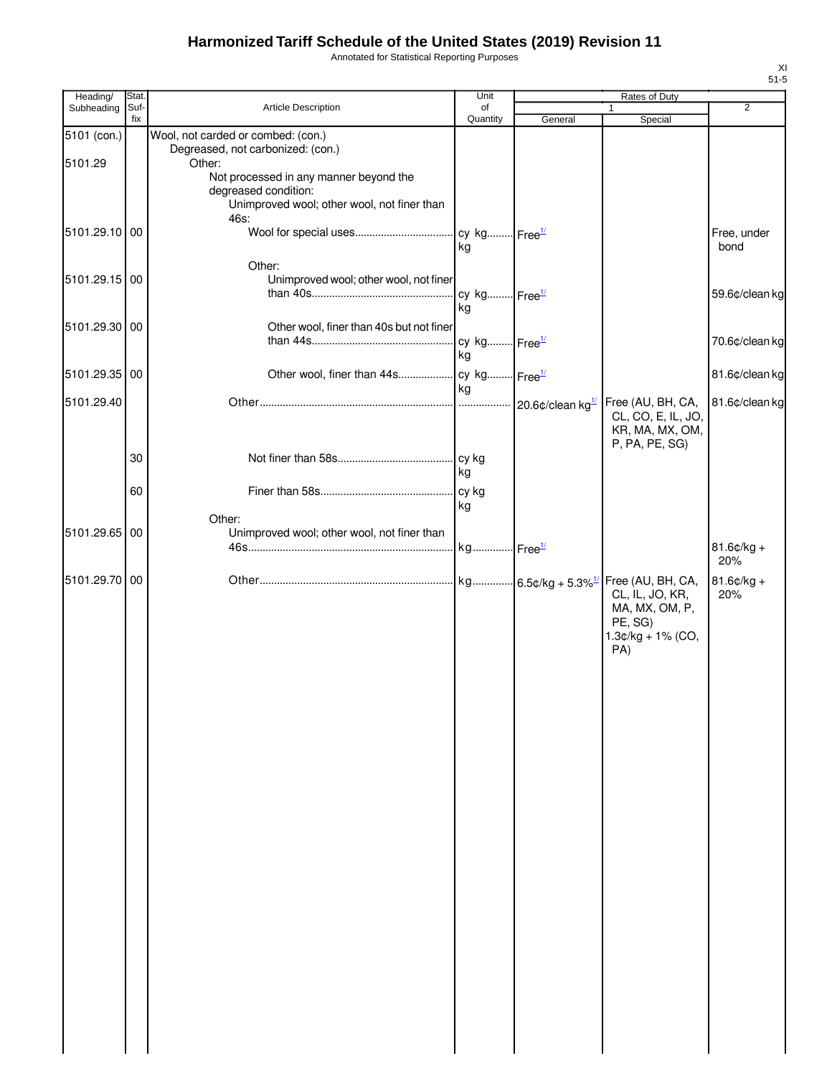Annotated for Statistical Reporting Purposes

| Heading/        | Stat. |                                                                     | Unit                     |         | Rates of Duty              |                |
|-----------------|-------|---------------------------------------------------------------------|--------------------------|---------|----------------------------|----------------|
| Subheading Suf- | fix   | Article Description                                                 | of<br>Quantity           | General | $\mathbf{1}$<br>Special    | $\overline{2}$ |
| 5101 (con.)     |       | Wool, not carded or combed: (con.)                                  |                          |         |                            |                |
|                 |       | Degreased, not carbonized: (con.)                                   |                          |         |                            |                |
| 5101.29         |       | Other:                                                              |                          |         |                            |                |
|                 |       | Not processed in any manner beyond the                              |                          |         |                            |                |
|                 |       | degreased condition:<br>Unimproved wool; other wool, not finer than |                          |         |                            |                |
|                 |       | 46s:                                                                |                          |         |                            |                |
| 5101.29.10 00   |       |                                                                     |                          |         |                            | Free, under    |
|                 |       |                                                                     | kg                       |         |                            | bond           |
|                 |       | Other:                                                              |                          |         |                            |                |
| 5101.29.15 00   |       | Unimproved wool; other wool, not finer                              |                          |         |                            |                |
|                 |       |                                                                     | cy kg Free <sup>1/</sup> |         |                            | 59.6¢/clean kg |
|                 |       |                                                                     | kg                       |         |                            |                |
| 5101.29.30 00   |       | Other wool, finer than 40s but not finer                            |                          |         |                            |                |
|                 |       |                                                                     |                          |         |                            | 70.6¢/clean kg |
|                 |       |                                                                     | kg                       |         |                            |                |
| 5101.29.35 00   |       |                                                                     |                          |         |                            | 81.6¢/clean kg |
| 5101.29.40      |       |                                                                     | l ka                     |         | Free (AU, BH, CA,          | 81.6¢/clean kg |
|                 |       |                                                                     |                          |         | CL, CO, E, IL, JO,         |                |
|                 |       |                                                                     |                          |         | KR, MA, MX, OM,            |                |
|                 |       |                                                                     |                          |         | P, PA, PE, SG)             |                |
|                 | 30    |                                                                     |                          |         |                            |                |
|                 |       |                                                                     | l kg                     |         |                            |                |
|                 | 60    |                                                                     |                          |         |                            |                |
|                 |       | Other:                                                              | kg                       |         |                            |                |
| 5101.29.65 00   |       | Unimproved wool; other wool, not finer than                         |                          |         |                            |                |
|                 |       |                                                                     |                          |         |                            | $81.6$ ¢/kg +  |
|                 |       |                                                                     |                          |         |                            | 20%            |
| 5101.29.70 00   |       |                                                                     |                          |         | Free (AU, BH, CA,          | $81.6$ ¢/kg +  |
|                 |       |                                                                     |                          |         | CL, IL, JO, KR,            | 20%            |
|                 |       |                                                                     |                          |         | MA, MX, OM, P,             |                |
|                 |       |                                                                     |                          |         | PE, SG)                    |                |
|                 |       |                                                                     |                          |         | $1.3¢/kg + 1% (CO,$<br>PA) |                |
|                 |       |                                                                     |                          |         |                            |                |
|                 |       |                                                                     |                          |         |                            |                |
|                 |       |                                                                     |                          |         |                            |                |
|                 |       |                                                                     |                          |         |                            |                |
|                 |       |                                                                     |                          |         |                            |                |
|                 |       |                                                                     |                          |         |                            |                |
|                 |       |                                                                     |                          |         |                            |                |
|                 |       |                                                                     |                          |         |                            |                |
|                 |       |                                                                     |                          |         |                            |                |
|                 |       |                                                                     |                          |         |                            |                |
|                 |       |                                                                     |                          |         |                            |                |
|                 |       |                                                                     |                          |         |                            |                |
|                 |       |                                                                     |                          |         |                            |                |
|                 |       |                                                                     |                          |         |                            |                |
|                 |       |                                                                     |                          |         |                            |                |
|                 |       |                                                                     |                          |         |                            |                |
|                 |       |                                                                     |                          |         |                            |                |
|                 |       |                                                                     |                          |         |                            |                |
|                 |       |                                                                     |                          |         |                            |                |
|                 |       |                                                                     |                          |         |                            |                |
|                 |       |                                                                     |                          |         |                            |                |
|                 |       |                                                                     |                          |         |                            |                |
|                 |       |                                                                     |                          |         |                            |                |
|                 |       |                                                                     |                          |         |                            |                |
|                 |       |                                                                     |                          |         |                            |                |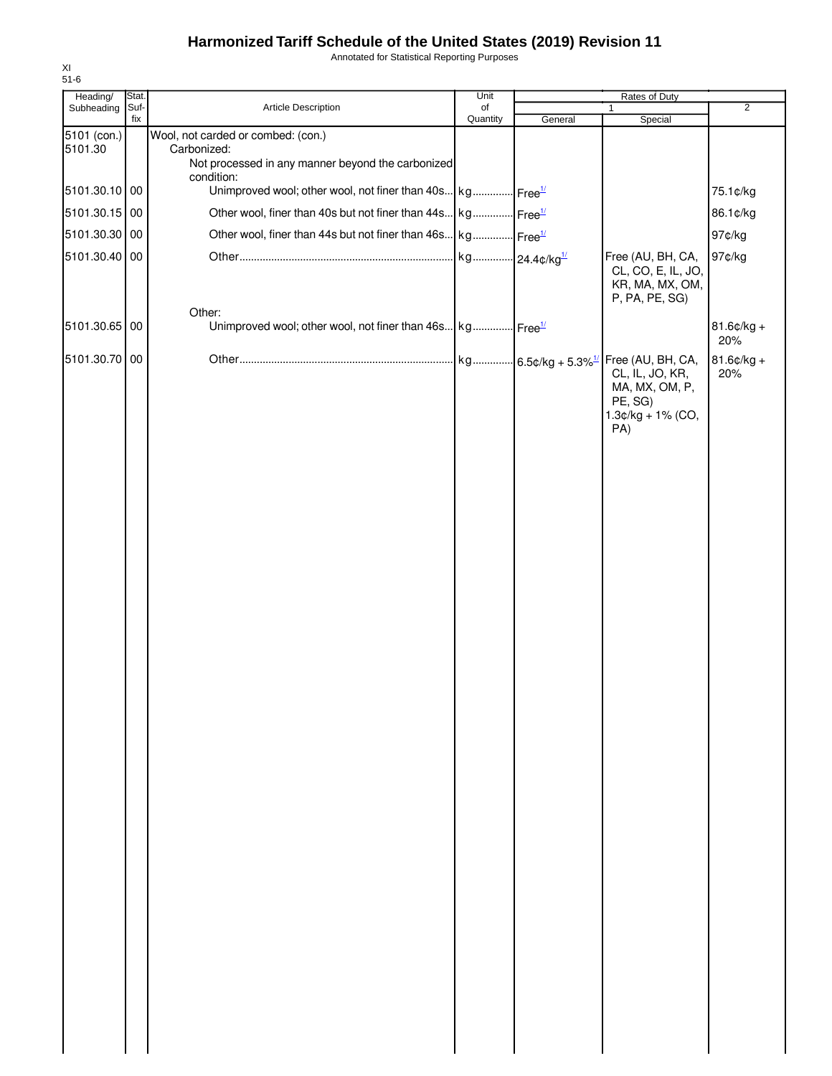Annotated for Statistical Reporting Purposes

| Heading/      | Stat.       |                                                                         | Unit                      |         | Rates of Duty                                     |                      |
|---------------|-------------|-------------------------------------------------------------------------|---------------------------|---------|---------------------------------------------------|----------------------|
| Subheading    | Suf-<br>fix | Article Description                                                     | of<br>Quantity            | General | $\mathbf{1}$<br>Special                           | $\overline{2}$       |
| 5101 (con.)   |             | Wool, not carded or combed: (con.)                                      |                           |         |                                                   |                      |
| 5101.30       |             | Carbonized:                                                             |                           |         |                                                   |                      |
|               |             | Not processed in any manner beyond the carbonized<br>condition:         |                           |         |                                                   |                      |
| 5101.30.10 00 |             | Unimproved wool; other wool, not finer than 40s kg Free <sup>1/</sup>   |                           |         |                                                   | 75.1¢/kg             |
| 5101.30.15 00 |             | Other wool, finer than 40s but not finer than 44s kg Free <sup>1/</sup> |                           |         |                                                   | 86.1¢/kg             |
|               |             |                                                                         |                           |         |                                                   |                      |
| 5101.30.30 00 |             | Other wool, finer than 44s but not finer than 46s kg Free <sup>1/</sup> |                           |         |                                                   | 97¢/kg               |
| 5101.30.40 00 |             |                                                                         | kg 24.4¢/kg <sup>1/</sup> |         | Free (AU, BH, CA,                                 | 97¢/kg               |
|               |             |                                                                         |                           |         | CL, CO, E, IL, JO,<br>KR, MA, MX, OM,             |                      |
|               |             |                                                                         |                           |         | P, PA, PE, SG)                                    |                      |
|               |             | Other:                                                                  |                           |         |                                                   |                      |
| 5101.30.65 00 |             | Unimproved wool; other wool, not finer than 46s kg Free <sup>1/</sup>   |                           |         |                                                   | $81.6$ ¢/kg +<br>20% |
| 5101.30.70 00 |             |                                                                         |                           |         | kg 6.5¢/kg + 5.3% <sup>1/</sup> Free (AU, BH, CA, | $81.6$ ¢/kg +        |
|               |             |                                                                         |                           |         | CL, IL, JO, KR,                                   | 20%                  |
|               |             |                                                                         |                           |         | MA, MX, OM, P,                                    |                      |
|               |             |                                                                         |                           |         | PE, SG)<br>1.3¢/kg + 1% (CO,                      |                      |
|               |             |                                                                         |                           |         | PA)                                               |                      |
|               |             |                                                                         |                           |         |                                                   |                      |
|               |             |                                                                         |                           |         |                                                   |                      |
|               |             |                                                                         |                           |         |                                                   |                      |
|               |             |                                                                         |                           |         |                                                   |                      |
|               |             |                                                                         |                           |         |                                                   |                      |
|               |             |                                                                         |                           |         |                                                   |                      |
|               |             |                                                                         |                           |         |                                                   |                      |
|               |             |                                                                         |                           |         |                                                   |                      |
|               |             |                                                                         |                           |         |                                                   |                      |
|               |             |                                                                         |                           |         |                                                   |                      |
|               |             |                                                                         |                           |         |                                                   |                      |
|               |             |                                                                         |                           |         |                                                   |                      |
|               |             |                                                                         |                           |         |                                                   |                      |
|               |             |                                                                         |                           |         |                                                   |                      |
|               |             |                                                                         |                           |         |                                                   |                      |
|               |             |                                                                         |                           |         |                                                   |                      |
|               |             |                                                                         |                           |         |                                                   |                      |
|               |             |                                                                         |                           |         |                                                   |                      |
|               |             |                                                                         |                           |         |                                                   |                      |
|               |             |                                                                         |                           |         |                                                   |                      |
|               |             |                                                                         |                           |         |                                                   |                      |
|               |             |                                                                         |                           |         |                                                   |                      |
|               |             |                                                                         |                           |         |                                                   |                      |
|               |             |                                                                         |                           |         |                                                   |                      |
|               |             |                                                                         |                           |         |                                                   |                      |
|               |             |                                                                         |                           |         |                                                   |                      |
|               |             |                                                                         |                           |         |                                                   |                      |
|               |             |                                                                         |                           |         |                                                   |                      |
|               |             |                                                                         |                           |         |                                                   |                      |
|               |             |                                                                         |                           |         |                                                   |                      |
|               |             |                                                                         |                           |         |                                                   |                      |
|               |             |                                                                         |                           |         |                                                   |                      |
|               |             |                                                                         |                           |         |                                                   |                      |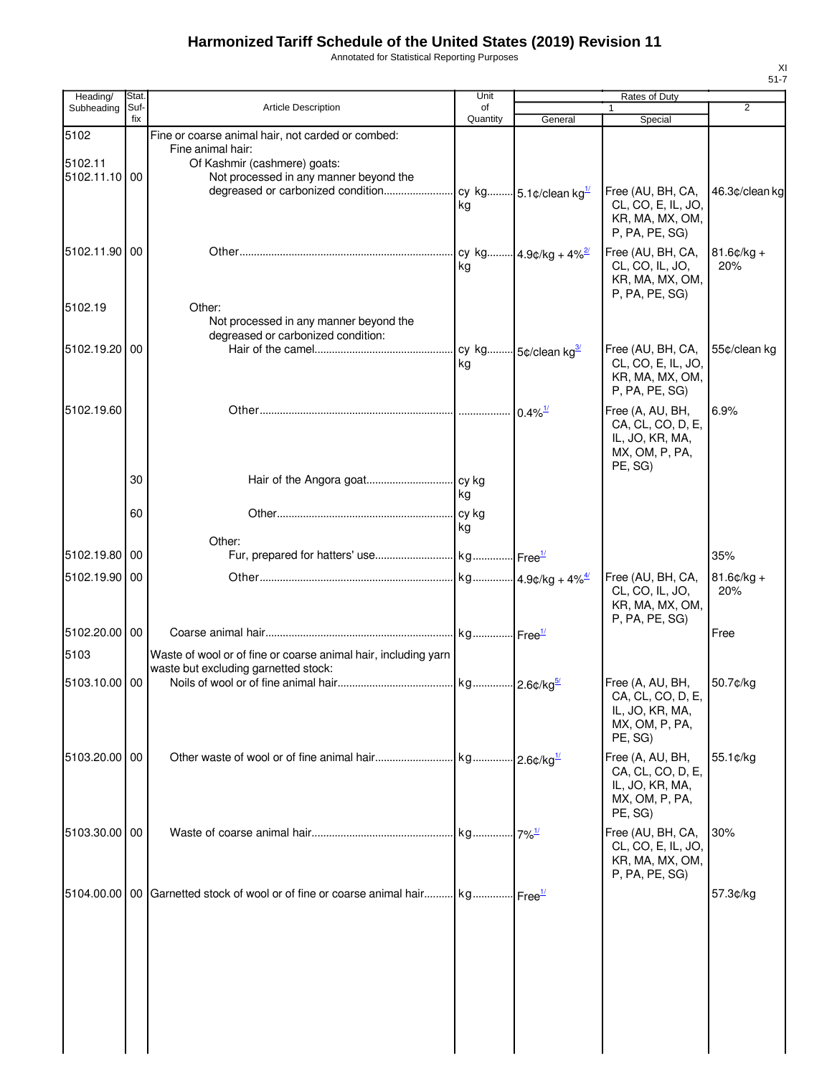Annotated for Statistical Reporting Purposes

| Heading/                 | Stat.       |                                                                                                  | Unit           |                                  | Rates of Duty                         |                      |
|--------------------------|-------------|--------------------------------------------------------------------------------------------------|----------------|----------------------------------|---------------------------------------|----------------------|
| Subheading               | Suf-<br>fix | <b>Article Description</b>                                                                       | of<br>Quantity | General                          | $\mathbf{1}$<br>Special               | 2                    |
| 5102                     |             | Fine or coarse animal hair, not carded or combed:                                                |                |                                  |                                       |                      |
|                          |             | Fine animal hair:                                                                                |                |                                  |                                       |                      |
| 5102.11<br>5102.11.10 00 |             | Of Kashmir (cashmere) goats:<br>Not processed in any manner beyond the                           |                |                                  |                                       |                      |
|                          |             |                                                                                                  |                |                                  | Free (AU, BH, CA,                     | 46.3¢/clean kg       |
|                          |             |                                                                                                  | kg             |                                  | CL, CO, E, IL, JO,                    |                      |
|                          |             |                                                                                                  |                |                                  | KR, MA, MX, OM,                       |                      |
|                          |             |                                                                                                  |                |                                  | P, PA, PE, SG                         |                      |
| 5102.11.90 00            |             |                                                                                                  |                | cy kg 4.9¢/kg + 4% <sup>2/</sup> | Free (AU, BH, CA,                     | $81.6$ ¢/kg +        |
|                          |             |                                                                                                  | kg             |                                  | CL, CO, IL, JO,<br>KR, MA, MX, OM,    | 20%                  |
|                          |             |                                                                                                  |                |                                  | P, PA, PE, SG)                        |                      |
| 5102.19                  |             | Other:                                                                                           |                |                                  |                                       |                      |
|                          |             | Not processed in any manner beyond the                                                           |                |                                  |                                       |                      |
| 5102.19.20 00            |             | degreased or carbonized condition:                                                               |                |                                  | Free (AU, BH, CA,                     | 55¢/clean kg         |
|                          |             |                                                                                                  | kg             |                                  | CL, CO, E, IL, JO,                    |                      |
|                          |             |                                                                                                  |                |                                  | KR, MA, MX, OM,                       |                      |
|                          |             |                                                                                                  |                |                                  | P, PA, PE, SG)                        |                      |
| 5102.19.60               |             |                                                                                                  |                | $0.4\%$ <sup>1/</sup>            | Free (A, AU, BH,                      | 6.9%                 |
|                          |             |                                                                                                  |                |                                  | CA, CL, CO, D, E,                     |                      |
|                          |             |                                                                                                  |                |                                  | IL, JO, KR, MA,<br>MX, OM, P, PA,     |                      |
|                          |             |                                                                                                  |                |                                  | PE, SG)                               |                      |
|                          | 30          |                                                                                                  |                |                                  |                                       |                      |
|                          |             |                                                                                                  | kg             |                                  |                                       |                      |
|                          | 60          |                                                                                                  |                |                                  |                                       |                      |
|                          |             | Other:                                                                                           | ka             |                                  |                                       |                      |
| 5102.19.80 00            |             |                                                                                                  |                |                                  |                                       | 35%                  |
|                          |             |                                                                                                  |                |                                  |                                       |                      |
| 5102.19.90 00            |             |                                                                                                  |                |                                  | Free (AU, BH, CA,<br>CL, CO, IL, JO,  | $81.6$ ¢/kg +<br>20% |
|                          |             |                                                                                                  |                |                                  | KR, MA, MX, OM,                       |                      |
|                          |             |                                                                                                  |                |                                  | P, PA, PE, SG)                        |                      |
| 5102.20.00 00            |             |                                                                                                  |                |                                  |                                       | Free                 |
| 5103                     |             | Waste of wool or of fine or coarse animal hair, including yarn                                   |                |                                  |                                       |                      |
|                          |             | waste but excluding garnetted stock:                                                             |                |                                  |                                       |                      |
| 5103.10.00 00            |             |                                                                                                  |                |                                  | Free (A, AU, BH,<br>CA, CL, CO, D, E, | 50.7¢/kg             |
|                          |             |                                                                                                  |                |                                  | IL, JO, KR, MA,                       |                      |
|                          |             |                                                                                                  |                |                                  | MX, OM, P, PA,                        |                      |
|                          |             |                                                                                                  |                |                                  | PE, SG)                               |                      |
| 5103.20.00 00            |             |                                                                                                  |                |                                  | Free (A, AU, BH,                      | $55.1$ ¢/kg          |
|                          |             |                                                                                                  |                |                                  | CA, CL, CO, D, E,<br>IL, JO, KR, MA,  |                      |
|                          |             |                                                                                                  |                |                                  | MX, OM, P, PA,                        |                      |
|                          |             |                                                                                                  |                |                                  | PE, SG)                               |                      |
| 5103.30.00   00          |             |                                                                                                  |                |                                  | Free (AU, BH, CA,                     | 30%                  |
|                          |             |                                                                                                  |                |                                  | CL, CO, E, IL, JO,                    |                      |
|                          |             |                                                                                                  |                |                                  | KR, MA, MX, OM,                       |                      |
|                          |             |                                                                                                  |                |                                  | P, PA, PE, SG)                        |                      |
|                          |             | 5104.00.00   00   Garnetted stock of wool or of fine or coarse animal hair kg Free <sup>1/</sup> |                |                                  |                                       | 57.3¢/kg             |
|                          |             |                                                                                                  |                |                                  |                                       |                      |
|                          |             |                                                                                                  |                |                                  |                                       |                      |
|                          |             |                                                                                                  |                |                                  |                                       |                      |
|                          |             |                                                                                                  |                |                                  |                                       |                      |
|                          |             |                                                                                                  |                |                                  |                                       |                      |
|                          |             |                                                                                                  |                |                                  |                                       |                      |
|                          |             |                                                                                                  |                |                                  |                                       |                      |
|                          |             |                                                                                                  |                |                                  |                                       |                      |
|                          |             |                                                                                                  |                |                                  |                                       |                      |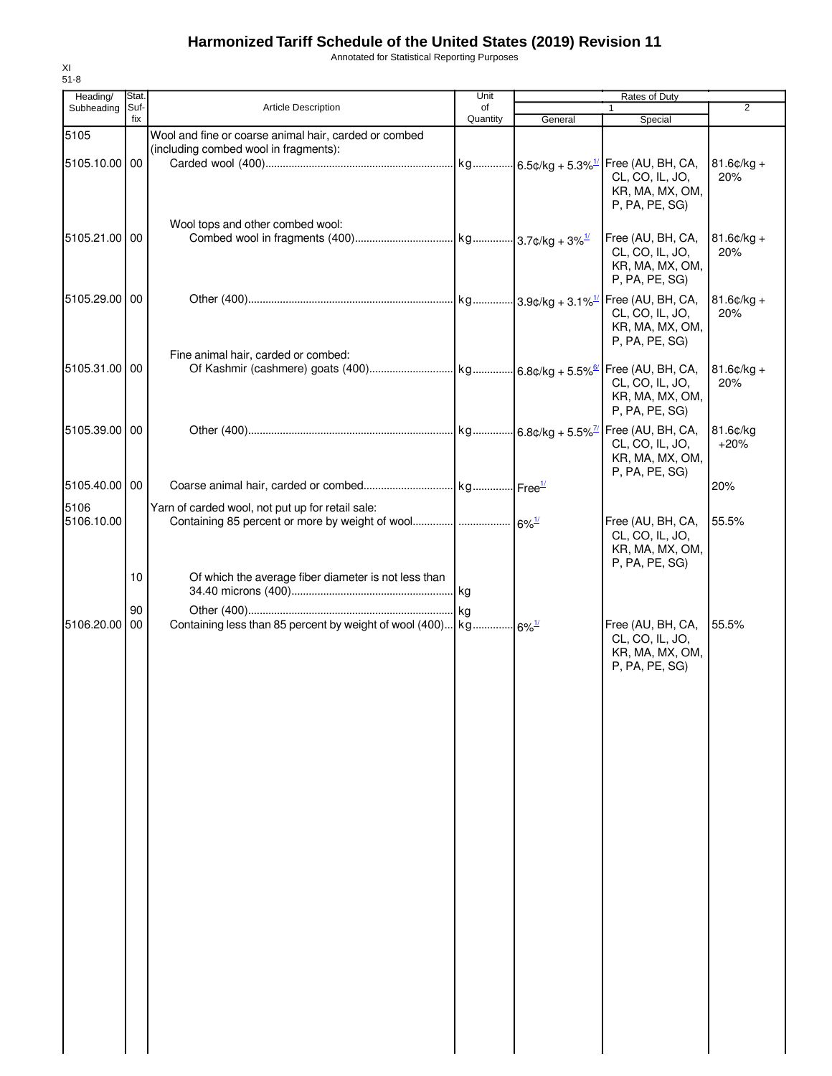Annotated for Statistical Reporting Purposes

| Heading/<br>Subheading | Stat.<br>Suf-   | Article Description                                                                            | Unit<br>of |                     | Rates of Duty<br>$\mathbf{1}$                                                               | 2                    |
|------------------------|-----------------|------------------------------------------------------------------------------------------------|------------|---------------------|---------------------------------------------------------------------------------------------|----------------------|
|                        | fix             |                                                                                                | Quantity   | General             | Special                                                                                     |                      |
| 5105<br>5105.10.00 00  |                 | Wool and fine or coarse animal hair, carded or combed<br>(including combed wool in fragments): |            |                     | CL, CO, IL, JO,<br>KR, MA, MX, OM,                                                          | $81.6¢/kg +$<br>20%  |
| 5105.21.00 00          |                 | Wool tops and other combed wool:                                                               |            |                     | P, PA, PE, SG)<br>Free (AU, BH, CA,<br>CL, CO, IL, JO,<br>KR, MA, MX, OM,<br>P, PA, PE, SG) | $81.6$ ¢/kg +<br>20% |
| 5105.29.00 00          |                 |                                                                                                |            |                     | CL, CO, IL, JO,<br>KR, MA, MX, OM,<br>P, PA, PE, SG)                                        | $81.6¢/kg +$<br>20%  |
| 5105.31.00 00          |                 | Fine animal hair, carded or combed:                                                            |            |                     | CL, CO, IL, JO,<br>KR, MA, MX, OM,<br>P, PA, PE, SG                                         | $81.6$ ¢/kg +<br>20% |
| 5105.39.00 00          |                 |                                                                                                |            |                     | CL, CO, IL, JO,<br>KR, MA, MX, OM,<br>P, PA, PE, SG)                                        | 81.6¢/kg<br>$+20%$   |
| 5105.40.00 00          |                 |                                                                                                |            |                     |                                                                                             | 20%                  |
| 5106<br>5106.10.00     |                 | Yarn of carded wool, not put up for retail sale:                                               |            |                     | Free (AU, BH, CA,<br>CL, CO, IL, JO,<br>KR, MA, MX, OM,<br>P, PA, PE, SG)                   | 55.5%                |
|                        | 10 <sup>°</sup> | Of which the average fiber diameter is not less than                                           |            |                     |                                                                                             |                      |
| 5106.20.00             | 90<br>00        | Containing less than 85 percent by weight of wool (400) kg                                     |            | $6\%$ <sup>1/</sup> | Free (AU, BH, CA,<br>CL, CO, IL, JO,<br>KR, MA, MX, OM,<br>P, PA, PE, SG)                   | 55.5%                |
|                        |                 |                                                                                                |            |                     |                                                                                             |                      |
|                        |                 |                                                                                                |            |                     |                                                                                             |                      |
|                        |                 |                                                                                                |            |                     |                                                                                             |                      |
|                        |                 |                                                                                                |            |                     |                                                                                             |                      |
|                        |                 |                                                                                                |            |                     |                                                                                             |                      |
|                        |                 |                                                                                                |            |                     |                                                                                             |                      |

XI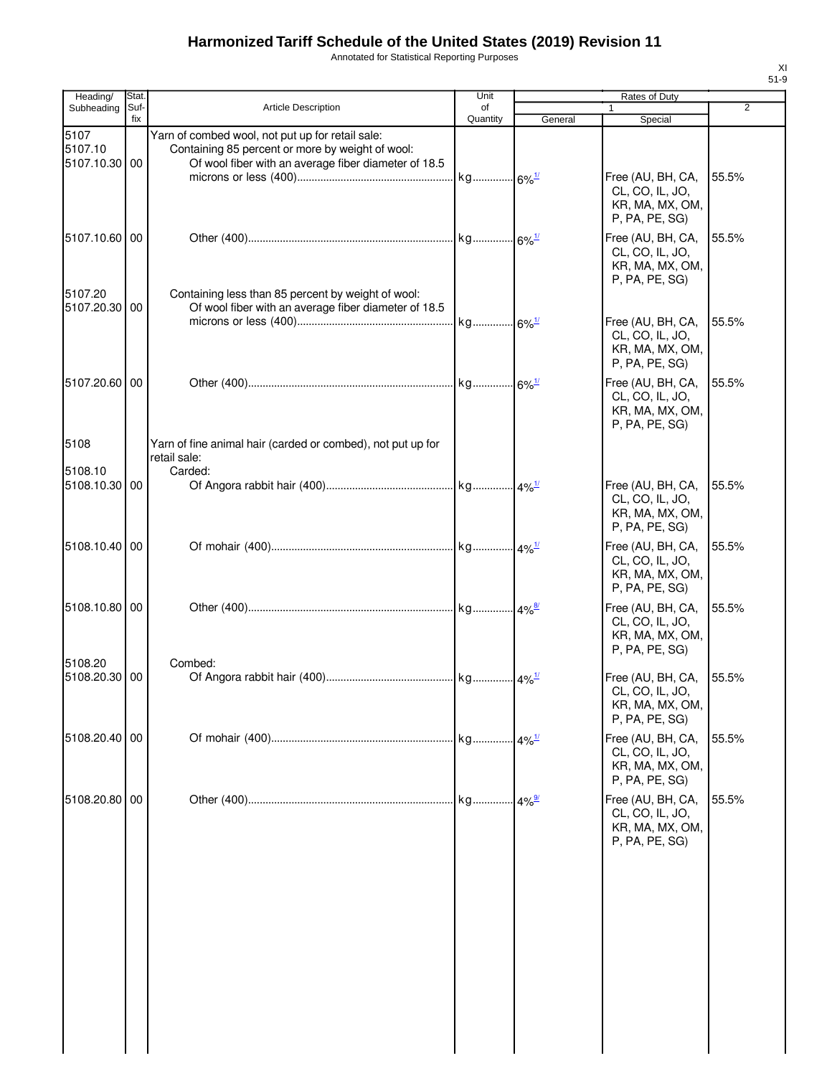Annotated for Statistical Reporting Purposes

| Heading/                         | Stat.       |                                                                                                                                                              | Unit                | Rates of Duty |                                                                           |                |  |
|----------------------------------|-------------|--------------------------------------------------------------------------------------------------------------------------------------------------------------|---------------------|---------------|---------------------------------------------------------------------------|----------------|--|
| Subheading                       | Suf-<br>fix | <b>Article Description</b>                                                                                                                                   | of<br>Quantity      | General       | Special                                                                   | $\overline{2}$ |  |
| 5107<br>5107.10<br>5107.10.30 00 |             | Yarn of combed wool, not put up for retail sale:<br>Containing 85 percent or more by weight of wool:<br>Of wool fiber with an average fiber diameter of 18.5 |                     |               |                                                                           |                |  |
|                                  |             |                                                                                                                                                              | kg 6% <sup>1/</sup> |               | Free (AU, BH, CA,<br>CL, CO, IL, JO,<br>KR, MA, MX, OM,<br>P, PA, PE, SG) | 55.5%          |  |
| 5107.10.60 00                    |             |                                                                                                                                                              |                     |               | Free (AU, BH, CA,<br>CL, CO, IL, JO,<br>KR, MA, MX, OM,<br>P, PA, PE, SG) | 55.5%          |  |
| 5107.20<br>5107.20.30 00         |             | Containing less than 85 percent by weight of wool:<br>Of wool fiber with an average fiber diameter of 18.5                                                   |                     |               | Free (AU, BH, CA,<br>CL, CO, IL, JO,<br>KR, MA, MX, OM,                   | 55.5%          |  |
| 5107.20.60 00                    |             |                                                                                                                                                              |                     |               | P, PA, PE, SG)<br>Free (AU, BH, CA,                                       | 55.5%          |  |
|                                  |             |                                                                                                                                                              |                     |               | CL, CO, IL, JO,<br>KR, MA, MX, OM,<br>P, PA, PE, SG)                      |                |  |
| 5108                             |             | Yarn of fine animal hair (carded or combed), not put up for<br>retail sale:                                                                                  |                     |               |                                                                           |                |  |
| 5108.10<br>5108.10.30 00         |             | Carded:                                                                                                                                                      |                     |               | Free (AU, BH, CA,<br>CL, CO, IL, JO,<br>KR, MA, MX, OM,<br>P, PA, PE, SG) | 55.5%          |  |
| 5108.10.40 00                    |             |                                                                                                                                                              |                     |               | Free (AU, BH, CA,<br>CL, CO, IL, JO,<br>KR, MA, MX, OM,<br>P, PA, PE, SG) | 55.5%          |  |
| 5108.10.80 00                    |             |                                                                                                                                                              |                     |               | Free (AU, BH, CA,<br>CL, CO, IL, JO,<br>KR, MA, MX, OM,<br>P, PA, PE, SG) | 55.5%          |  |
| 5108.20<br>5108.20.30 00         |             | Combed:                                                                                                                                                      |                     |               | Free (AU, BH, CA,<br>CL, CO, IL, JO,<br>KR, MA, MX, OM,<br>P, PA, PE, SG) | 55.5%          |  |
| 5108.20.40 00                    |             |                                                                                                                                                              |                     |               | Free (AU, BH, CA,<br>CL, CO, IL, JO,<br>KR, MA, MX, OM,<br>P, PA, PE, SG) | 55.5%          |  |
| 5108.20.80 00                    |             |                                                                                                                                                              |                     | $.14\%$       | Free (AU, BH, CA,<br>CL, CO, IL, JO,<br>KR, MA, MX, OM,<br>P, PA, PE, SG) | 55.5%          |  |
|                                  |             |                                                                                                                                                              |                     |               |                                                                           |                |  |
|                                  |             |                                                                                                                                                              |                     |               |                                                                           |                |  |
|                                  |             |                                                                                                                                                              |                     |               |                                                                           |                |  |
|                                  |             |                                                                                                                                                              |                     |               |                                                                           |                |  |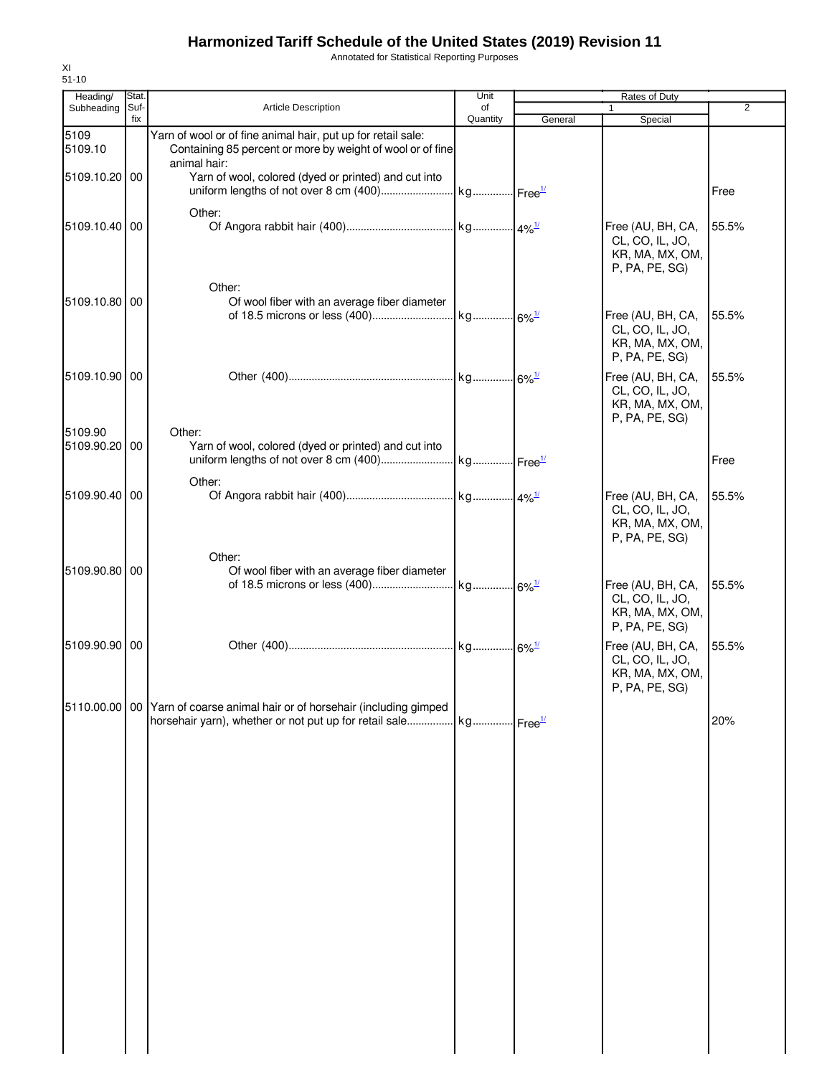Annotated for Statistical Reporting Purposes

| Heading/                 | Stat.       |                                                                                                                                                            | Unit           |         | <b>Rates of Duty</b>                                                                        |                |
|--------------------------|-------------|------------------------------------------------------------------------------------------------------------------------------------------------------------|----------------|---------|---------------------------------------------------------------------------------------------|----------------|
| Subheading               | Suf-<br>fix | Article Description                                                                                                                                        | of<br>Quantity | General | $\mathbf{1}$<br>Special                                                                     | $\overline{2}$ |
| 5109<br>5109.10          |             | Yarn of wool or of fine animal hair, put up for retail sale:<br>Containing 85 percent or more by weight of wool or of fine<br>animal hair:                 |                |         |                                                                                             |                |
| 5109.10.20 00            |             | Yarn of wool, colored (dyed or printed) and cut into                                                                                                       |                |         |                                                                                             | Free           |
| 5109.10.40 00            |             | Other:                                                                                                                                                     |                |         | Free (AU, BH, CA,<br>CL, CO, IL, JO,<br>KR, MA, MX, OM,<br>P, PA, PE, SG)                   | 55.5%          |
| 5109.10.80 00            |             | Other:<br>Of wool fiber with an average fiber diameter                                                                                                     |                |         | Free (AU, BH, CA,<br>CL, CO, IL, JO,<br>KR, MA, MX, OM,                                     | 55.5%          |
| 5109.10.90 00            |             |                                                                                                                                                            |                |         | P, PA, PE, SG)<br>Free (AU, BH, CA,<br>CL, CO, IL, JO,<br>KR, MA, MX, OM,<br>P, PA, PE, SG) | 55.5%          |
| 5109.90<br>5109.90.20 00 |             | Other:<br>Yarn of wool, colored (dyed or printed) and cut into                                                                                             |                |         |                                                                                             | Free           |
| 5109.90.40 00            |             | Other:                                                                                                                                                     |                |         | Free (AU, BH, CA,<br>CL, CO, IL, JO,<br>KR, MA, MX, OM,<br>P, PA, PE, SG)                   | 55.5%          |
| 5109.90.80 00            |             | Other:<br>Of wool fiber with an average fiber diameter                                                                                                     |                |         | Free (AU, BH, CA,<br>CL, CO, IL, JO,<br>KR, MA, MX, OM,                                     | 55.5%          |
| 5109.90.90 00            |             |                                                                                                                                                            |                |         | P, PA, PE, SG)<br>Free (AU, BH, CA,<br>CL, CO, IL, JO,<br>KR, MA, MX, OM,<br>P, PA, PE, SG) | 55.5%          |
|                          |             | 5110.00.00 00 Yarn of coarse animal hair or of horsehair (including gimped<br>horsehair yarn), whether or not put up for retail sale kg Free <sup>1/</sup> |                |         |                                                                                             | 20%            |
|                          |             |                                                                                                                                                            |                |         |                                                                                             |                |
|                          |             |                                                                                                                                                            |                |         |                                                                                             |                |
|                          |             |                                                                                                                                                            |                |         |                                                                                             |                |
|                          |             |                                                                                                                                                            |                |         |                                                                                             |                |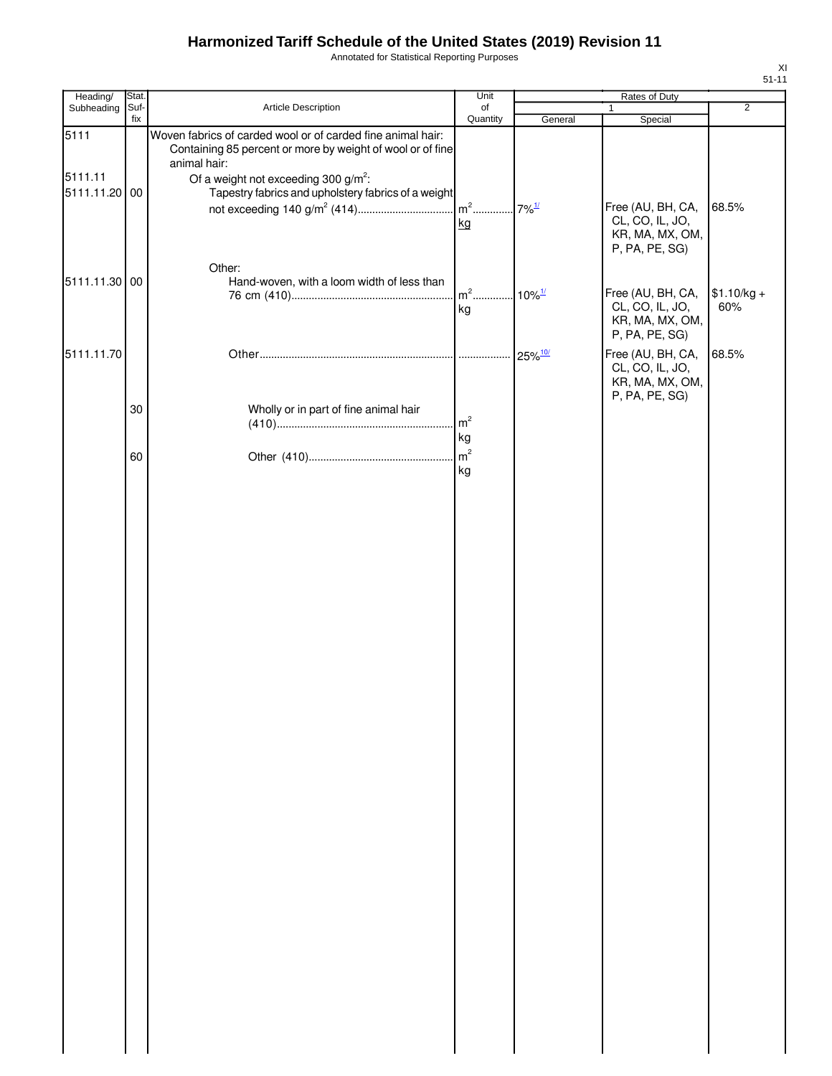Annotated for Statistical Reporting Purposes

| Heading/                 | Stat.       |                                                                                                                                           | Unit                                   | Rates of Duty |                                                                           |                     |
|--------------------------|-------------|-------------------------------------------------------------------------------------------------------------------------------------------|----------------------------------------|---------------|---------------------------------------------------------------------------|---------------------|
| Subheading               | Suf-<br>fix | Article Description                                                                                                                       | of<br>Quantity                         | General       | $\mathbf{1}$<br>Special                                                   | $\overline{2}$      |
| 5111                     |             | Woven fabrics of carded wool or of carded fine animal hair:<br>Containing 85 percent or more by weight of wool or of fine<br>animal hair: |                                        |               |                                                                           |                     |
| 5111.11<br>5111.11.20 00 |             | Of a weight not exceeding 300 $g/m^2$ :<br>Tapestry fabrics and upholstery fabrics of a weight                                            | kg                                     |               | Free (AU, BH, CA,<br>CL, CO, IL, JO,<br>KR, MA, MX, OM,<br>P, PA, PE, SG) | 68.5%               |
| 5111.11.30 00            |             | Other:<br>Hand-woven, with a loom width of less than                                                                                      | m <sup>2</sup> 10% <sup>1/</sup><br>kg |               | Free (AU, BH, CA,<br>CL, CO, IL, JO,<br>KR, MA, MX, OM,<br>P, PA, PE, SG) | $$1.10/kg +$<br>60% |
| 5111.11.70               |             |                                                                                                                                           |                                        |               | Free (AU, BH, CA,<br>CL, CO, IL, JO,<br>KR, MA, MX, OM,<br>P, PA, PE, SG) | 68.5%               |
|                          | 30          | Wholly or in part of fine animal hair                                                                                                     | m <sup>2</sup><br>kg                   |               |                                                                           |                     |
|                          | 60          |                                                                                                                                           | m <sup>2</sup><br>kg                   |               |                                                                           |                     |
|                          |             |                                                                                                                                           |                                        |               |                                                                           |                     |
|                          |             |                                                                                                                                           |                                        |               |                                                                           |                     |
|                          |             |                                                                                                                                           |                                        |               |                                                                           |                     |
|                          |             |                                                                                                                                           |                                        |               |                                                                           |                     |
|                          |             |                                                                                                                                           |                                        |               |                                                                           |                     |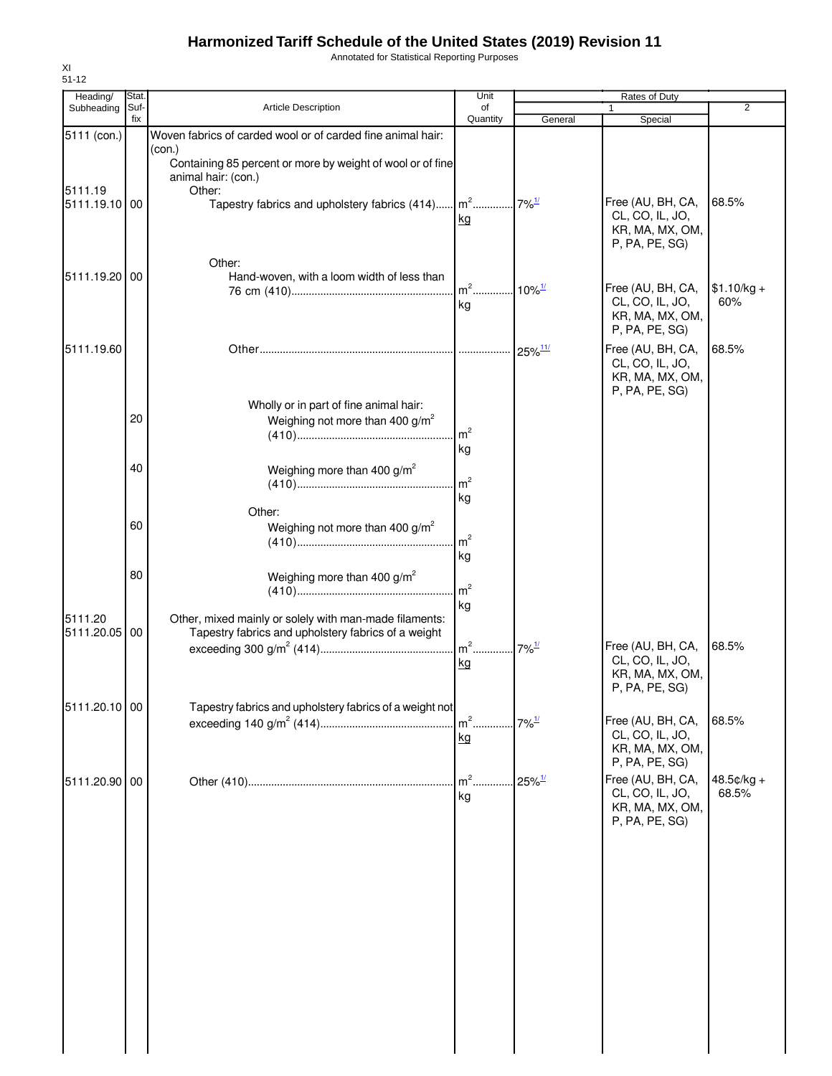Annotated for Statistical Reporting Purposes

| Heading/                 | Stat.       |                                                                                                                                              | Unit                 |                       | <b>Rates of Duty</b>                                                                        |                       |
|--------------------------|-------------|----------------------------------------------------------------------------------------------------------------------------------------------|----------------------|-----------------------|---------------------------------------------------------------------------------------------|-----------------------|
| Subheading               | Suf-<br>fix | Article Description                                                                                                                          | of<br>Quantity       | General               | 1<br>Special                                                                                | $\overline{2}$        |
| 5111 (con.)              |             | Woven fabrics of carded wool or of carded fine animal hair:<br>(con.)                                                                        |                      |                       |                                                                                             |                       |
| 5111.19<br>5111.19.10 00 |             | Containing 85 percent or more by weight of wool or of fine<br>animal hair: (con.)<br>Other:<br>Tapestry fabrics and upholstery fabrics (414) | $\mathsf{m}^2$<br>kg | $.7\%$ <sup>1/</sup>  | Free (AU, BH, CA,<br>CL, CO, IL, JO,<br>KR, MA, MX, OM,<br>P, PA, PE, SG)                   | 68.5%                 |
| 5111.19.20               | 00          | Other:<br>Hand-woven, with a loom width of less than                                                                                         | $m^2$<br>kg          | $10\%$ <sup>1/</sup>  | Free (AU, BH, CA,<br>CL, CO, IL, JO,<br>KR, MA, MX, OM,<br>P, PA, PE, SG)                   | $$1.10/kg +$<br>60%   |
| 5111.19.60               |             |                                                                                                                                              |                      | $25\%$ <sup>11/</sup> | Free (AU, BH, CA,<br>CL, CO, IL, JO,<br>KR, MA, MX, OM,<br>P, PA, PE, SG)                   | 68.5%                 |
|                          | 20          | Wholly or in part of fine animal hair:<br>Weighing not more than 400 g/m <sup>2</sup>                                                        | m <sup>2</sup><br>kg |                       |                                                                                             |                       |
|                          | 40          | Weighing more than 400 $g/m^2$                                                                                                               | m <sup>2</sup><br>kg |                       |                                                                                             |                       |
|                          | 60          | Other:<br>Weighing not more than 400 g/m <sup>2</sup>                                                                                        | m <sup>2</sup><br>kg |                       |                                                                                             |                       |
|                          | 80          | Weighing more than 400 $g/m^2$                                                                                                               | m <sup>2</sup><br>kg |                       |                                                                                             |                       |
| 5111.20<br>5111.20.05    | 00          | Other, mixed mainly or solely with man-made filaments:<br>Tapestry fabrics and upholstery fabrics of a weight                                | $m2$<br>kg           | $7\%$ <sup>1/</sup>   | Free (AU, BH, CA,<br>CL, CO, IL, JO,<br>KR, MA, MX, OM,<br>P, PA, PE, SG)                   | 68.5%                 |
| 5111.20.10 00            |             | Tapestry fabrics and upholstery fabrics of a weight not                                                                                      | $\rm{m}^2$ .<br>kg   | $7\%$ <sup>1/</sup>   | Free (AU, BH, CA,<br>CL, CO, IL, JO,<br>KR, MA, MX, OM,                                     | 68.5%                 |
| 5111.20.90 00            |             |                                                                                                                                              | $m2$ .<br>kg         | $25\%$ <sup>1/</sup>  | P, PA, PE, SG)<br>Free (AU, BH, CA,<br>CL, CO, IL, JO,<br>KR, MA, MX, OM,<br>P, PA, PE, SG) | $48.5¢/kg +$<br>68.5% |
|                          |             |                                                                                                                                              |                      |                       |                                                                                             |                       |
|                          |             |                                                                                                                                              |                      |                       |                                                                                             |                       |
|                          |             |                                                                                                                                              |                      |                       |                                                                                             |                       |
|                          |             |                                                                                                                                              |                      |                       |                                                                                             |                       |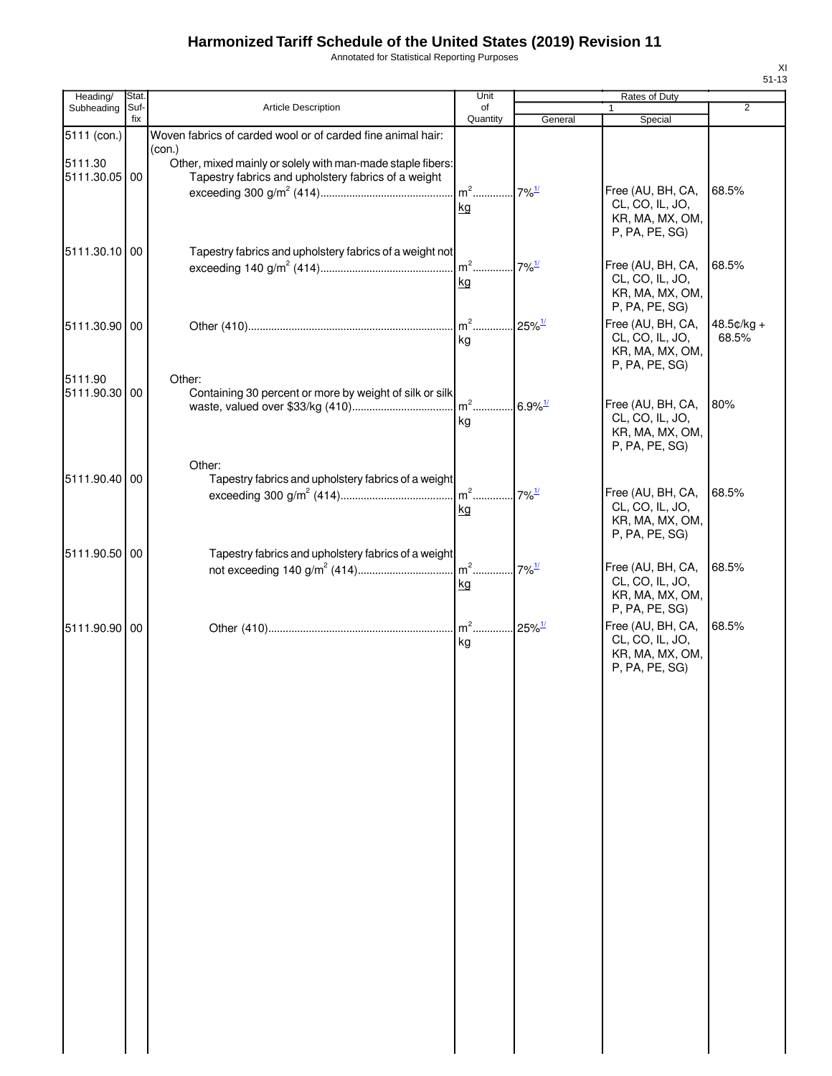Annotated for Statistical Reporting Purposes

| × |    |
|---|----|
| I | ۰, |
|   |    |

| Heading/      | Stat. |                                                                       | Unit     |                       | Rates of Duty                        |                |
|---------------|-------|-----------------------------------------------------------------------|----------|-----------------------|--------------------------------------|----------------|
| Subheading    | Suf-  | Article Description                                                   | of       |                       |                                      | $\overline{2}$ |
|               | fix   |                                                                       | Quantity | General               | Special                              |                |
| 5111 (con.)   |       | Woven fabrics of carded wool or of carded fine animal hair:<br>(con.) |          |                       |                                      |                |
| 5111.30       |       | Other, mixed mainly or solely with man-made staple fibers:            |          |                       |                                      |                |
| 5111.30.05 00 |       | Tapestry fabrics and upholstery fabrics of a weight                   |          |                       |                                      |                |
|               |       |                                                                       | $m^2$    | $7\%$ <sup>1/</sup>   | Free (AU, BH, CA,                    | 68.5%          |
|               |       |                                                                       | kg       |                       | CL, CO, IL, JO,                      |                |
|               |       |                                                                       |          |                       | KR, MA, MX, OM,                      |                |
|               |       |                                                                       |          |                       | P, PA, PE, SG)                       |                |
| 5111.30.10 00 |       | Tapestry fabrics and upholstery fabrics of a weight not               |          |                       |                                      |                |
|               |       |                                                                       |          | $7\%$ <sup>1/</sup>   | Free (AU, BH, CA,                    | 68.5%          |
|               |       |                                                                       | kg       |                       | CL, CO, IL, JO,                      |                |
|               |       |                                                                       |          |                       | KR, MA, MX, OM,<br>P, PA, PE, SG)    |                |
|               |       |                                                                       | $m2$ .   | $25\%$ <sup>1/</sup>  | Free (AU, BH, CA,                    | $48.5¢/kg +$   |
| 5111.30.90 00 |       |                                                                       | kg       |                       | CL, CO, IL, JO,                      | 68.5%          |
|               |       |                                                                       |          |                       | KR, MA, MX, OM,                      |                |
|               |       |                                                                       |          |                       | P, PA, PE, SG)                       |                |
| 5111.90       |       | Other:                                                                |          |                       |                                      |                |
| 5111.90.30 00 |       | Containing 30 percent or more by weight of silk or silk               | $m2$ .   |                       | Free (AU, BH, CA,                    | 80%            |
|               |       |                                                                       |          | $6.9\%$ <sup>1/</sup> | CL, CO, IL, JO,                      |                |
|               |       |                                                                       | kg       |                       | KR, MA, MX, OM,                      |                |
|               |       |                                                                       |          |                       | P, PA, PE, SG)                       |                |
|               |       | Other:                                                                |          |                       |                                      |                |
| 5111.90.40 00 |       | Tapestry fabrics and upholstery fabrics of a weight                   |          |                       |                                      |                |
|               |       |                                                                       |          | $7\%$ <sup>1/</sup>   | Free (AU, BH, CA,                    | 68.5%          |
|               |       |                                                                       | kg       |                       | CL, CO, IL, JO,                      |                |
|               |       |                                                                       |          |                       | KR, MA, MX, OM,                      |                |
|               |       |                                                                       |          |                       | P, PA, PE, SG)                       |                |
| 5111.90.50 00 |       | Tapestry fabrics and upholstery fabrics of a weight                   |          |                       |                                      |                |
|               |       |                                                                       | $m2$ .   | $7\%$ <sup>1/</sup>   | Free (AU, BH, CA,<br>CL, CO, IL, JO, | 68.5%          |
|               |       |                                                                       | kg       |                       | KR, MA, MX, OM,                      |                |
|               |       |                                                                       |          |                       | P, PA, PE, SG)                       |                |
| 5111.90.90 00 |       |                                                                       |          | $25\%$ <sup>1/</sup>  | Free (AU, BH, CA,                    | 68.5%          |
|               |       |                                                                       | kg       |                       | CL, CO, IL, JO,                      |                |
|               |       |                                                                       |          |                       | KR, MA, MX, OM,                      |                |
|               |       |                                                                       |          |                       | P, PA, PE, SG)                       |                |
|               |       |                                                                       |          |                       |                                      |                |
|               |       |                                                                       |          |                       |                                      |                |
|               |       |                                                                       |          |                       |                                      |                |
|               |       |                                                                       |          |                       |                                      |                |
|               |       |                                                                       |          |                       |                                      |                |
|               |       |                                                                       |          |                       |                                      |                |
|               |       |                                                                       |          |                       |                                      |                |
|               |       |                                                                       |          |                       |                                      |                |
|               |       |                                                                       |          |                       |                                      |                |
|               |       |                                                                       |          |                       |                                      |                |
|               |       |                                                                       |          |                       |                                      |                |
|               |       |                                                                       |          |                       |                                      |                |
|               |       |                                                                       |          |                       |                                      |                |
|               |       |                                                                       |          |                       |                                      |                |
|               |       |                                                                       |          |                       |                                      |                |
|               |       |                                                                       |          |                       |                                      |                |
|               |       |                                                                       |          |                       |                                      |                |
|               |       |                                                                       |          |                       |                                      |                |
|               |       |                                                                       |          |                       |                                      |                |
|               |       |                                                                       |          |                       |                                      |                |
|               |       |                                                                       |          |                       |                                      |                |
|               |       |                                                                       |          |                       |                                      |                |
|               |       |                                                                       |          |                       |                                      |                |
|               |       |                                                                       |          |                       |                                      |                |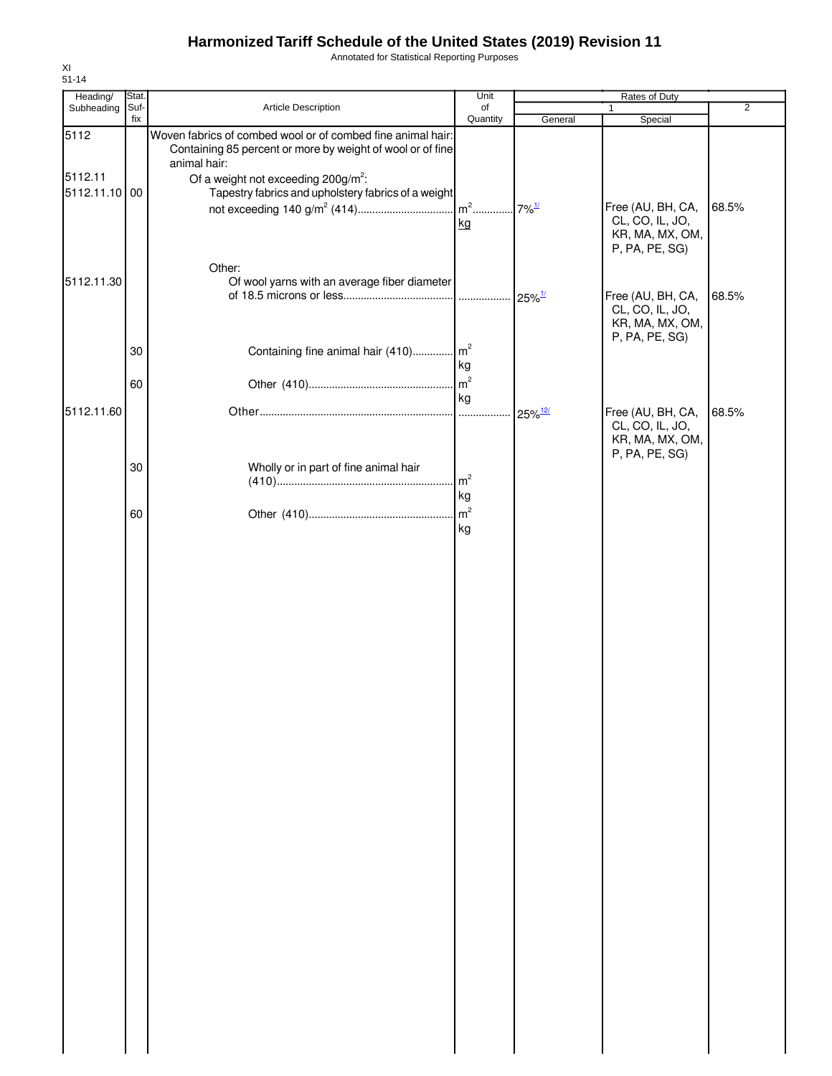Annotated for Statistical Reporting Purposes

| Heading/      | Stat. |                                                                            | Unit                 | Rates of Duty         |                                    |                |
|---------------|-------|----------------------------------------------------------------------------|----------------------|-----------------------|------------------------------------|----------------|
| Subheading    | Suf-  | Article Description                                                        | of                   |                       | 1                                  | $\overline{2}$ |
| 5112          | fix   | Woven fabrics of combed wool or of combed fine animal hair:                | Quantity             | General               | Special                            |                |
|               |       | Containing 85 percent or more by weight of wool or of fine<br>animal hair: |                      |                       |                                    |                |
| 5112.11       |       | Of a weight not exceeding $200g/m^2$ :                                     |                      |                       |                                    |                |
| 5112.11.10 00 |       | Tapestry fabrics and upholstery fabrics of a weight                        |                      |                       |                                    |                |
|               |       |                                                                            |                      |                       | Free (AU, BH, CA,                  | 68.5%          |
|               |       |                                                                            | kg                   |                       | CL, CO, IL, JO,<br>KR, MA, MX, OM, |                |
|               |       |                                                                            |                      |                       | P, PA, PE, SG)                     |                |
|               |       | Other:                                                                     |                      |                       |                                    |                |
| 5112.11.30    |       | Of wool yarns with an average fiber diameter                               |                      |                       |                                    |                |
|               |       |                                                                            |                      | $25\%$ <sup>1/</sup>  | Free (AU, BH, CA,                  | 68.5%          |
|               |       |                                                                            |                      |                       | CL, CO, IL, JO,<br>KR, MA, MX, OM, |                |
|               |       |                                                                            |                      |                       | P, PA, PE, SG)                     |                |
|               | 30    | Containing fine animal hair (410) m <sup>2</sup>                           |                      |                       |                                    |                |
|               |       |                                                                            | kg                   |                       |                                    |                |
|               | 60    |                                                                            | m <sup>2</sup><br>kg |                       |                                    |                |
| 5112.11.60    |       |                                                                            | .                    | $25\%$ <sup>12/</sup> | Free (AU, BH, CA,                  | 68.5%          |
|               |       |                                                                            |                      |                       | CL, CO, IL, JO,                    |                |
|               |       |                                                                            |                      |                       | KR, MA, MX, OM,                    |                |
|               | 30    | Wholly or in part of fine animal hair                                      |                      |                       | P, PA, PE, SG)                     |                |
|               |       |                                                                            | m <sup>2</sup>       |                       |                                    |                |
|               |       |                                                                            | kg                   |                       |                                    |                |
|               | 60    |                                                                            | m <sup>2</sup>       |                       |                                    |                |
|               |       |                                                                            | kg                   |                       |                                    |                |
|               |       |                                                                            |                      |                       |                                    |                |
|               |       |                                                                            |                      |                       |                                    |                |
|               |       |                                                                            |                      |                       |                                    |                |
|               |       |                                                                            |                      |                       |                                    |                |
|               |       |                                                                            |                      |                       |                                    |                |
|               |       |                                                                            |                      |                       |                                    |                |
|               |       |                                                                            |                      |                       |                                    |                |
|               |       |                                                                            |                      |                       |                                    |                |
|               |       |                                                                            |                      |                       |                                    |                |
|               |       |                                                                            |                      |                       |                                    |                |
|               |       |                                                                            |                      |                       |                                    |                |
|               |       |                                                                            |                      |                       |                                    |                |
|               |       |                                                                            |                      |                       |                                    |                |
|               |       |                                                                            |                      |                       |                                    |                |
|               |       |                                                                            |                      |                       |                                    |                |
|               |       |                                                                            |                      |                       |                                    |                |
|               |       |                                                                            |                      |                       |                                    |                |
|               |       |                                                                            |                      |                       |                                    |                |
|               |       |                                                                            |                      |                       |                                    |                |
|               |       |                                                                            |                      |                       |                                    |                |
|               |       |                                                                            |                      |                       |                                    |                |
|               |       |                                                                            |                      |                       |                                    |                |
|               |       |                                                                            |                      |                       |                                    |                |
|               |       |                                                                            |                      |                       |                                    |                |
|               |       |                                                                            |                      |                       |                                    |                |
|               |       |                                                                            |                      |                       |                                    |                |
|               |       |                                                                            |                      |                       |                                    |                |
|               |       |                                                                            |                      |                       |                                    |                |
|               |       |                                                                            |                      |                       |                                    |                |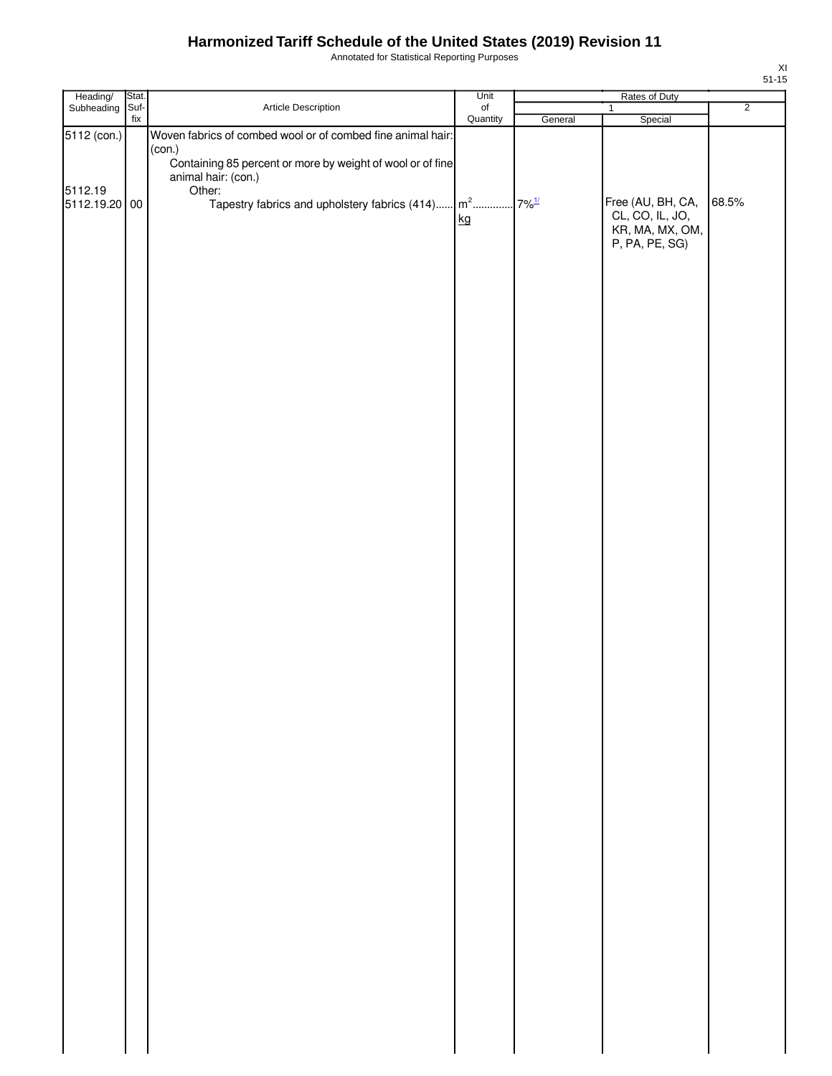Annotated for Statistical Reporting Purposes

| Heading/<br>Subheading                  | Stat.<br>Suf-<br>Article Description<br>fix | Unit                                                                                                                                                            | Rates of Duty         |         |                                                                           |                |
|-----------------------------------------|---------------------------------------------|-----------------------------------------------------------------------------------------------------------------------------------------------------------------|-----------------------|---------|---------------------------------------------------------------------------|----------------|
|                                         |                                             |                                                                                                                                                                 | $\circ$ f<br>Quantity | General | $\mathbf{1}$<br>Special                                                   | $\overline{2}$ |
|                                         |                                             |                                                                                                                                                                 |                       |         |                                                                           |                |
|                                         |                                             | (con.)<br>Containing 85 percent or more by weight of wool or of fine<br>animal hair: (con.)                                                                     |                       |         |                                                                           |                |
| 5112 (con.)<br>5112.19<br>5112.19.20 00 |                                             | Woven fabrics of combed wool or of combed fine animal hair:<br>Other:<br>Tapestry fabrics and upholstery fabrics $(414)$ $\left m^2$ $\right 7\%$ <sup>1/</sup> | kg                    |         | Free (AU, BH, CA,<br>CL, CO, IL, JO,<br>KR, MA, MX, OM,<br>P, PA, PE, SG) | 68.5%          |
|                                         |                                             |                                                                                                                                                                 |                       |         |                                                                           |                |
|                                         |                                             |                                                                                                                                                                 |                       |         |                                                                           |                |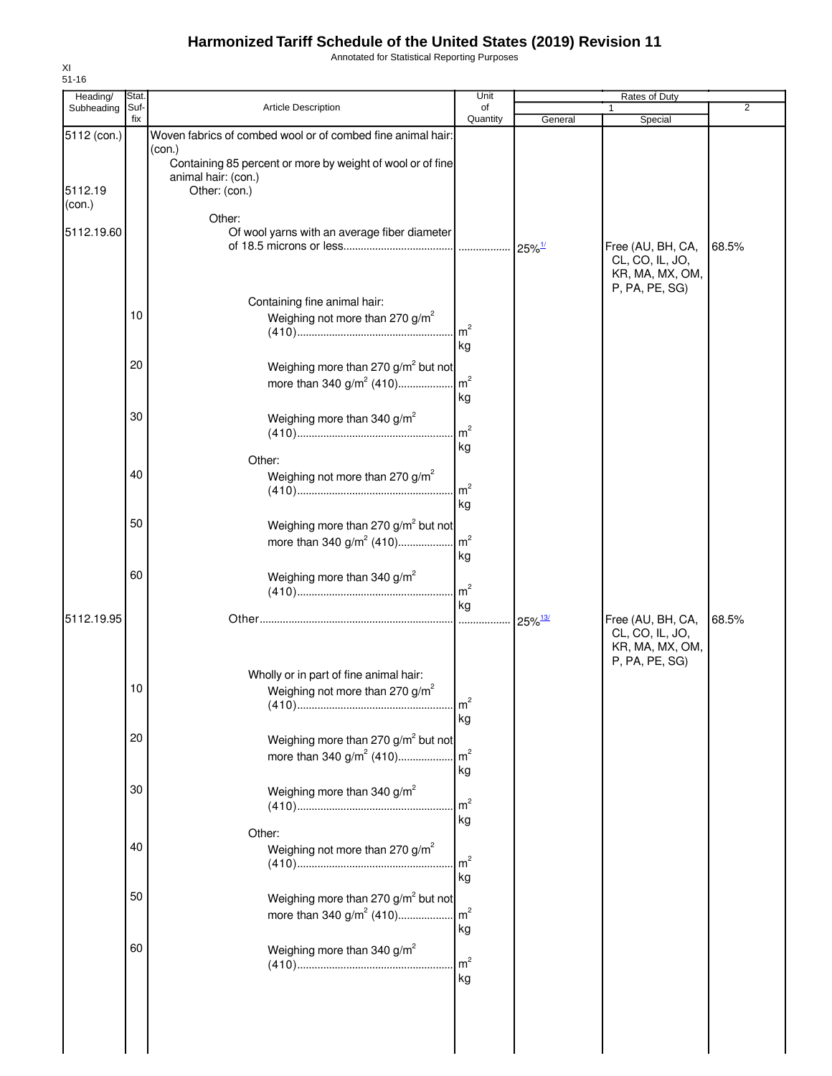Annotated for Statistical Reporting Purposes

| Heading/          | Stat.       |                                                                                                                                     | Unit                 | <b>Rates of Duty</b>  |                                                                           |                |  |
|-------------------|-------------|-------------------------------------------------------------------------------------------------------------------------------------|----------------------|-----------------------|---------------------------------------------------------------------------|----------------|--|
| Subheading        | Suf-<br>fix | Article Description                                                                                                                 | of<br>Quantity       | General               | $\mathbf{1}$<br>Special                                                   | $\overline{2}$ |  |
| 5112 (con.)       |             | Woven fabrics of combed wool or of combed fine animal hair:<br>(con.)<br>Containing 85 percent or more by weight of wool or of fine |                      |                       |                                                                           |                |  |
| 5112.19<br>(con.) |             | animal hair: (con.)<br>Other: (con.)                                                                                                |                      |                       |                                                                           |                |  |
| 5112.19.60        |             | Other:<br>Of wool yarns with an average fiber diameter                                                                              |                      |                       | Free (AU, BH, CA,<br>CL, CO, IL, JO,                                      | 68.5%          |  |
|                   |             | Containing fine animal hair:                                                                                                        |                      |                       | KR, MA, MX, OM,<br>P, PA, PE, SG)                                         |                |  |
|                   | 10          | Weighing not more than 270 g/m <sup>2</sup>                                                                                         | m <sup>2</sup><br>kg |                       |                                                                           |                |  |
|                   | 20          | Weighing more than 270 g/m <sup>2</sup> but not<br>more than 340 $g/m^2$ (410)                                                      | m <sup>2</sup><br>kg |                       |                                                                           |                |  |
|                   | 30          | Weighing more than 340 g/m <sup>2</sup>                                                                                             | m <sup>2</sup><br>kg |                       |                                                                           |                |  |
|                   | 40          | Other:<br>Weighing not more than 270 $g/m^2$                                                                                        | m <sup>2</sup><br>kg |                       |                                                                           |                |  |
|                   | 50          | Weighing more than 270 g/m <sup>2</sup> but not<br>more than 340 $g/m^2$ (410)                                                      | m <sup>2</sup><br>kg |                       |                                                                           |                |  |
|                   | 60          | Weighing more than 340 $g/m^2$                                                                                                      | m <sup>2</sup><br>kg |                       |                                                                           |                |  |
| 5112.19.95        |             |                                                                                                                                     | $\cdots$             | $25\%$ <sup>13/</sup> | Free (AU, BH, CA,<br>CL, CO, IL, JO,<br>KR, MA, MX, OM,<br>P, PA, PE, SG) | 68.5%          |  |
|                   | 10          | Wholly or in part of fine animal hair:<br>Weighing not more than 270 g/m <sup>2</sup>                                               | m <sup>2</sup><br>kg |                       |                                                                           |                |  |
|                   | 20          | Weighing more than 270 g/m <sup>2</sup> but not<br>more than 340 $g/m^2$ (410)                                                      | m <sup>2</sup><br>kg |                       |                                                                           |                |  |
|                   | 30          | Weighing more than 340 g/m <sup>2</sup>                                                                                             | m <sup>2</sup><br>kg |                       |                                                                           |                |  |
|                   | 40          | Other:<br>Weighing not more than 270 $g/m^2$                                                                                        | m <sup>2</sup><br>kg |                       |                                                                           |                |  |
|                   | 50          | Weighing more than 270 g/m <sup>2</sup> but not<br>more than 340 $g/m^2$ (410)                                                      | m <sup>2</sup><br>kg |                       |                                                                           |                |  |
|                   | 60          | Weighing more than 340 $g/m^2$                                                                                                      | m <sup>2</sup><br>kg |                       |                                                                           |                |  |
|                   |             |                                                                                                                                     |                      |                       |                                                                           |                |  |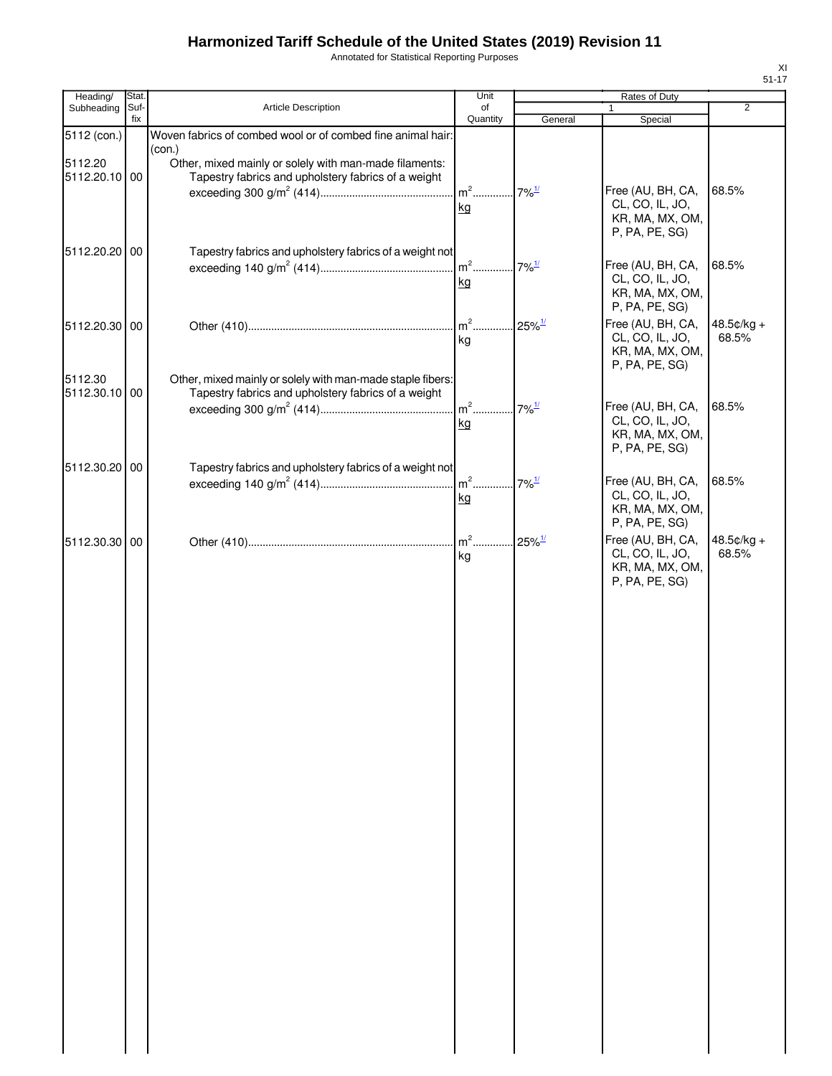Annotated for Statistical Reporting Purposes

| ×<br>۰. |  |  |  |  |  |
|---------|--|--|--|--|--|

| Heading/                 | Stat.       |                                                                                                                   | Unit           |                      | Rates of Duty                                                                                |                       |
|--------------------------|-------------|-------------------------------------------------------------------------------------------------------------------|----------------|----------------------|----------------------------------------------------------------------------------------------|-----------------------|
| Subheading               | Suf-<br>fix | <b>Article Description</b>                                                                                        | of<br>Quantity | General              | 1<br>Special                                                                                 | $\overline{2}$        |
| 5112 (con.)              |             | Woven fabrics of combed wool or of combed fine animal hair:<br>(con.)                                             |                |                      |                                                                                              |                       |
| 5112.20<br>5112.20.10 00 |             | Other, mixed mainly or solely with man-made filaments:<br>Tapestry fabrics and upholstery fabrics of a weight     | $m2$<br>kg     | $7\%$ <sup>1/</sup>  | Free (AU, BH, CA,<br>CL, CO, IL, JO,                                                         | 68.5%                 |
| 5112.20.20 00            |             | Tapestry fabrics and upholstery fabrics of a weight not                                                           | $m^2$<br>kg    | $7\%$ <sup>1/</sup>  | KR, MA, MX, OM,<br>P, PA, PE, SG)<br>Free (AU, BH, CA,<br>CL, CO, IL, JO,                    | 68.5%                 |
| 5112.20.30 00            |             |                                                                                                                   | $m2$<br>kg     | $25\%$ <sup>1/</sup> | KR, MA, MX, OM,<br>P, PA, PE, SG)<br>Free (AU, BH, CA,<br>CL, CO, IL, JO,<br>KR, MA, MX, OM, | 48.5¢/kg +<br>68.5%   |
| 5112.30<br>5112.30.10 00 |             | Other, mixed mainly or solely with man-made staple fibers:<br>Tapestry fabrics and upholstery fabrics of a weight | $m2$ .<br>kg   | $7\%$ <sup>1/</sup>  | P, PA, PE, SG)<br>Free (AU, BH, CA,<br>CL, CO, IL, JO,                                       | 68.5%                 |
| 5112.30.20 00            |             | Tapestry fabrics and upholstery fabrics of a weight not                                                           | $m2$<br>kg     | $7\%$ <sup>1/</sup>  | KR, MA, MX, OM,<br>P, PA, PE, SG)<br>Free (AU, BH, CA,<br>CL, CO, IL, JO,                    | 68.5%                 |
| 5112.30.30 00            |             |                                                                                                                   | $m2$<br>kg     | $25\%$ <sup>1/</sup> | KR, MA, MX, OM,<br>P, PA, PE, SG)<br>Free (AU, BH, CA,<br>CL, CO, IL, JO,<br>KR, MA, MX, OM, | $48.5¢/kg +$<br>68.5% |
|                          |             |                                                                                                                   |                |                      | P, PA, PE, SG)                                                                               |                       |
|                          |             |                                                                                                                   |                |                      |                                                                                              |                       |
|                          |             |                                                                                                                   |                |                      |                                                                                              |                       |
|                          |             |                                                                                                                   |                |                      |                                                                                              |                       |
|                          |             |                                                                                                                   |                |                      |                                                                                              |                       |
|                          |             |                                                                                                                   |                |                      |                                                                                              |                       |
|                          |             |                                                                                                                   |                |                      |                                                                                              |                       |
|                          |             |                                                                                                                   |                |                      |                                                                                              |                       |
|                          |             |                                                                                                                   |                |                      |                                                                                              |                       |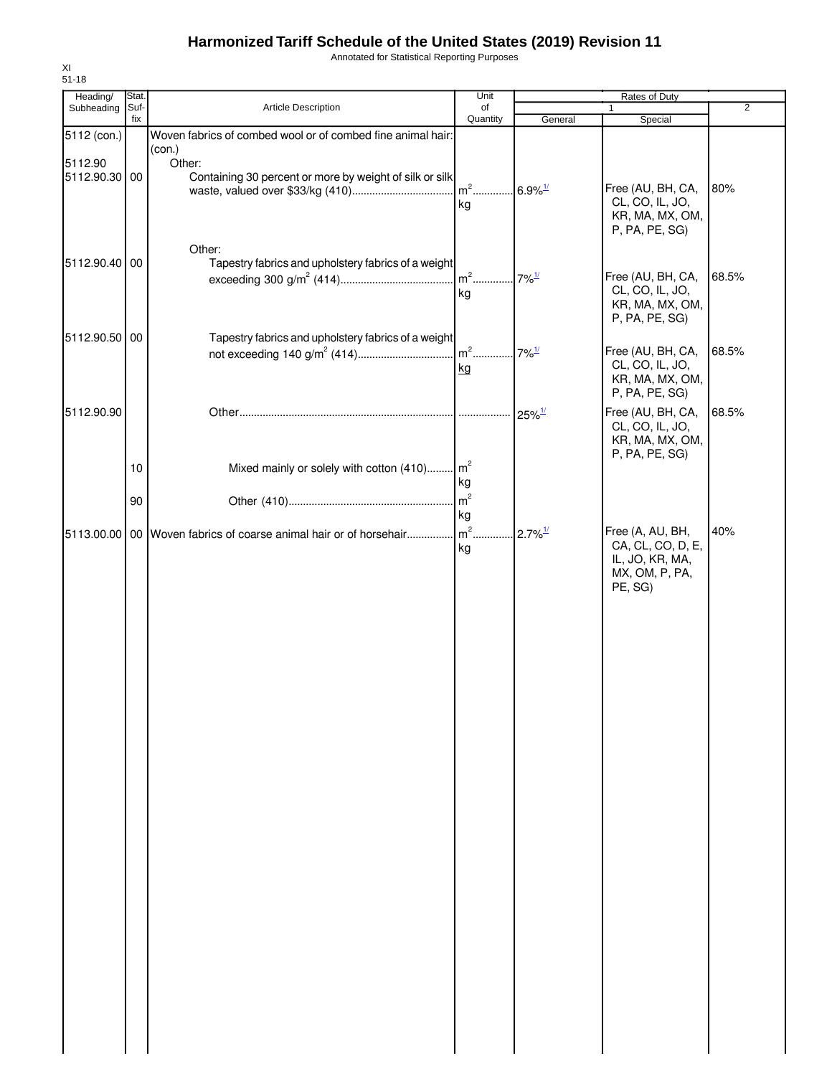Annotated for Statistical Reporting Purposes

| Heading/      | Stat.       |                                                                   | Unit                              | Rates of Duty                    |                                    |                |
|---------------|-------------|-------------------------------------------------------------------|-----------------------------------|----------------------------------|------------------------------------|----------------|
| Subheading    | Suf-<br>fix | Article Description                                               | of<br>Quantity                    | General                          | 1<br>Special                       | $\overline{2}$ |
| 5112 (con.)   |             | Woven fabrics of combed wool or of combed fine animal hair:       |                                   |                                  |                                    |                |
|               |             | (con.)                                                            |                                   |                                  |                                    |                |
| 5112.90       |             | Other:                                                            |                                   |                                  |                                    |                |
| 5112.90.30 00 |             | Containing 30 percent or more by weight of silk or silk           |                                   |                                  |                                    |                |
|               |             |                                                                   | m <sup>2</sup> 6.9% <sup>1/</sup> |                                  | Free (AU, BH, CA,                  | 80%            |
|               |             |                                                                   | kg                                |                                  | CL, CO, IL, JO,<br>KR, MA, MX, OM, |                |
|               |             |                                                                   |                                   |                                  | P, PA, PE, SG)                     |                |
|               |             |                                                                   |                                   |                                  |                                    |                |
| 5112.90.40 00 |             | Other:<br>Tapestry fabrics and upholstery fabrics of a weight     |                                   |                                  |                                    |                |
|               |             |                                                                   | $m2$                              | $7\%$ <sup><math>1/</math></sup> | Free (AU, BH, CA,                  | 68.5%          |
|               |             |                                                                   | kg                                |                                  | CL, CO, IL, JO,                    |                |
|               |             |                                                                   |                                   |                                  | KR, MA, MX, OM,                    |                |
|               |             |                                                                   |                                   |                                  | P, PA, PE, SG)                     |                |
| 5112.90.50 00 |             | Tapestry fabrics and upholstery fabrics of a weight               |                                   |                                  |                                    |                |
|               |             |                                                                   | $m2$                              | $7\%$ <sup>1/</sup>              | Free (AU, BH, CA,                  | 68.5%          |
|               |             |                                                                   | kg                                |                                  | CL, CO, IL, JO,                    |                |
|               |             |                                                                   |                                   |                                  | KR, MA, MX, OM,                    |                |
|               |             |                                                                   |                                   |                                  | P, PA, PE, SG)                     |                |
| 5112.90.90    |             |                                                                   | .                                 | $25\%$ <sup>1/</sup>             | Free (AU, BH, CA,                  | 68.5%          |
|               |             |                                                                   |                                   |                                  | CL, CO, IL, JO,                    |                |
|               |             |                                                                   |                                   |                                  | KR, MA, MX, OM,                    |                |
|               | 10          | Mixed mainly or solely with cotton (410)                          | $\mathsf{m}^2$                    |                                  | P, PA, PE, SG)                     |                |
|               |             |                                                                   | kg                                |                                  |                                    |                |
|               | 90          |                                                                   | m <sup>2</sup>                    |                                  |                                    |                |
|               |             |                                                                   | kg                                |                                  |                                    |                |
|               |             | 5113.00.00 00 Woven fabrics of coarse animal hair or of horsehair | $m2$ .                            | $2.7\%$ <sup>1/</sup>            | Free (A, AU, BH,                   | 40%            |
|               |             |                                                                   | kg                                |                                  | CA, CL, CO, D, E,                  |                |
|               |             |                                                                   |                                   |                                  | IL, JO, KR, MA,                    |                |
|               |             |                                                                   |                                   |                                  | MX, OM, P, PA,                     |                |
|               |             |                                                                   |                                   |                                  | PE, SG)                            |                |
|               |             |                                                                   |                                   |                                  |                                    |                |
|               |             |                                                                   |                                   |                                  |                                    |                |
|               |             |                                                                   |                                   |                                  |                                    |                |
|               |             |                                                                   |                                   |                                  |                                    |                |
|               |             |                                                                   |                                   |                                  |                                    |                |
|               |             |                                                                   |                                   |                                  |                                    |                |
|               |             |                                                                   |                                   |                                  |                                    |                |
|               |             |                                                                   |                                   |                                  |                                    |                |
|               |             |                                                                   |                                   |                                  |                                    |                |
|               |             |                                                                   |                                   |                                  |                                    |                |
|               |             |                                                                   |                                   |                                  |                                    |                |
|               |             |                                                                   |                                   |                                  |                                    |                |
|               |             |                                                                   |                                   |                                  |                                    |                |
|               |             |                                                                   |                                   |                                  |                                    |                |
|               |             |                                                                   |                                   |                                  |                                    |                |
|               |             |                                                                   |                                   |                                  |                                    |                |
|               |             |                                                                   |                                   |                                  |                                    |                |
|               |             |                                                                   |                                   |                                  |                                    |                |
|               |             |                                                                   |                                   |                                  |                                    |                |
|               |             |                                                                   |                                   |                                  |                                    |                |
|               |             |                                                                   |                                   |                                  |                                    |                |
|               |             |                                                                   |                                   |                                  |                                    |                |
|               |             |                                                                   |                                   |                                  |                                    |                |
|               |             |                                                                   |                                   |                                  |                                    |                |
|               |             |                                                                   |                                   |                                  |                                    |                |
|               |             |                                                                   |                                   |                                  |                                    |                |
|               |             |                                                                   |                                   |                                  |                                    |                |
|               |             |                                                                   |                                   |                                  |                                    |                |
|               |             |                                                                   |                                   |                                  |                                    |                |